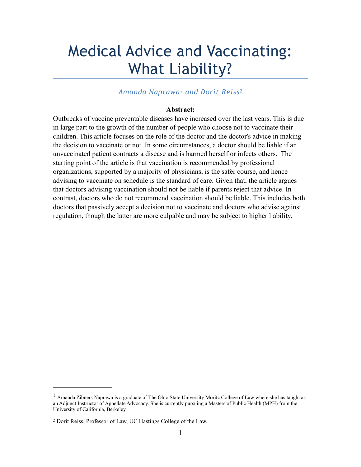# Medical Advice and Vaccinating: What Liability?

## *Amanda Naprawa<sup>1</sup> and Dorit Reiss<sup>[2](#page-0-1)</sup>*

#### <span id="page-0-3"></span><span id="page-0-2"></span>**Abstract:**

Outbreaks of vaccine preventable diseases have increased over the last years. This is due in large part to the growth of the number of people who choose not to vaccinate their children. This article focuses on the role of the doctor and the doctor's advice in making the decision to vaccinate or not. In some circumstances, a doctor should be liable if an unvaccinated patient contracts a disease and is harmed herself or infects others. The starting point of the article is that vaccination is recommended by professional organizations, supported by a majority of physicians, is the safer course, and hence advising to vaccinate on schedule is the standard of care. Given that, the article argues that doctors advising vaccination should not be liable if parents reject that advice. In contrast, doctors who do not recommend vaccination should be liable. This includes both doctors that passively accept a decision not to vaccinate and doctors who advise against regulation, though the latter are more culpable and may be subject to higher liability.

<span id="page-0-0"></span> $<sup>1</sup>$  $<sup>1</sup>$  $<sup>1</sup>$  Amanda Zibners Naprawa is a graduate of The Ohio State University Moritz College of Law where she has taught as</sup> an Adjunct Instructor of Appellate Advocacy. She is currently pursuing a Masters of Public Health (MPH) from the University of California, Berkeley.

<span id="page-0-1"></span><sup>&</sup>lt;sup>[2](#page-0-3)</sup> Dorit Reiss, Professor of Law, UC Hastings College of the Law.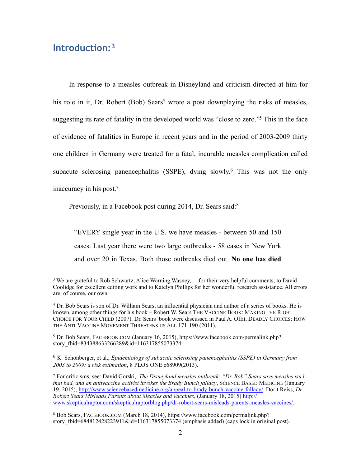# <span id="page-1-6"></span>**Introduction: [3](#page-1-0)**

<span id="page-1-7"></span>In response to a measles outbreak in Disneyland and criticism directed at him for hi[s](#page-1-1) role in it, Dr. Robert (Bob) Sears<sup>[4](#page-1-1)</sup> wrote a post downplaying the risks of measles, suggesting its rate of fatality in the developed world was ["](#page-1-2)close to zero."<sup>[5](#page-1-2)</sup> This in the face of evidence of fatalities in Europe in recent years and in the period of 2003-2009 thirty one children in Germany were treated for a fatal, incurable measles complication called subacute sclerosing panencephalitis (SSPE), dying slowly[.](#page-1-3)<sup>[6](#page-1-3)</sup> This was not the only inaccuracy in his post[.7](#page-1-4)

<span id="page-1-10"></span><span id="page-1-9"></span><span id="page-1-8"></span>Previously, in a Facebook post during 2014, Dr. Sears said:<sup>[8](#page-1-5)</sup>

<span id="page-1-11"></span>"EVERY single year in the U.S. we have measles - between 50 and 150 cases. Last year there were two large outbreaks - 58 cases in New York and over 20 in Texas. Both those outbreaks died out. **No one has died** 

<span id="page-1-0"></span><sup>&</sup>lt;sup>[3](#page-1-6)</sup> We are grateful to Rob Schwartz, Alice Warning Wasney,... for their very helpful comments, to David Coolidge for excellent editing work and to Katelyn Phillips for her wonderful research assistance. All errors are, of course, our own.

<span id="page-1-1"></span>Dr. Bob Sears is son of Dr. William Sears, an influential physician and author of a series of books. He is [4](#page-1-7) known, among other things for his book – Robert W. Sears THE VACCINE BOOK: MAKING THE RIGHT CHOICE FOR YOUR CHILD (2007). Dr. Sears' book were discussed in Paul A. Offit, DEADLY CHOICES: HOW THE ANTI-VACCINE MOVEMENT THREATENS US ALL 171-190 (2011).

<span id="page-1-2"></span><sup>&</sup>lt;sup>[5](#page-1-8)</sup> Dr. Bob Sears, FACEBOOK.COM (January 16, 2015), https://www.facebook.com/permalink.php? story\_fbid=834388633266289&id=116317855073374

<span id="page-1-3"></span><sup>&</sup>lt;sup>[6](#page-1-9)</sup> K Schönberger, et al., *Epidemiology of subacute sclerosing panencephalitis (SSPE) in Germany from 2003 to 2009: a risk estimation*, 8 PLOS ONE e68909(2013).

<span id="page-1-4"></span>For criticisms, see: David Gorski, *The Disneyland measles outbreak: "Dr. Bob" Sears says measles isn't* [7](#page-1-10) *that bad, and an antivaccine activist invokes the Brady Bunch fallacy*, SCIENCE BASED MEDICINE (January 19, 2015),<http://www.sciencebasedmedicine.org/appeal-to-brady-bunch-vaccine-fallacy/>. Dorit Reiss, *Dr. Robert Sears Misleads Parents about Measles and Vaccines*, (January 18, 2015) http:// [www.skepticalraptor.com/skepticalraptorblog.php/dr-robert-sears-misleads-parents-measles-vaccines/](http://www.skepticalraptor.com/skepticalraptorblog.php/dr-robert-sears-misleads-parents-measles-vaccines/).

<span id="page-1-5"></span>Bob Sears, FACEBOOK.COM (March 18, 2014), https://www.facebook.com/permalink.php? [8](#page-1-11) story\_fbid=684812428223911&id=116317855073374 (emphasis added) (caps lock in original post).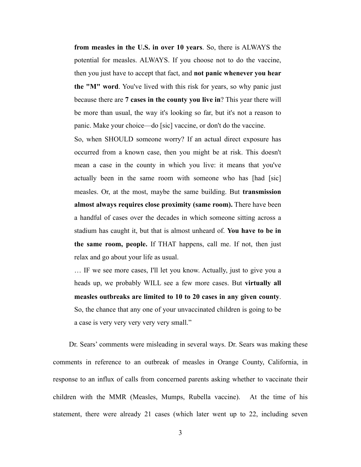**from measles in the U.S. in over 10 years**. So, there is ALWAYS the potential for measles. ALWAYS. If you choose not to do the vaccine, then you just have to accept that fact, and **not panic whenever you hear the "M" word**. You've lived with this risk for years, so why panic just because there are **7 cases in the county you live in**? This year there will be more than usual, the way it's looking so far, but it's not a reason to panic. Make your choice—do [sic] vaccine, or don't do the vaccine.

So, when SHOULD someone worry? If an actual direct exposure has occurred from a known case, then you might be at risk. This doesn't mean a case in the county in which you live: it means that you've actually been in the same room with someone who has [had [sic] measles. Or, at the most, maybe the same building. But **transmission almost always requires close proximity (same room).** There have been a handful of cases over the decades in which someone sitting across a stadium has caught it, but that is almost unheard of. **You have to be in the same room, people.** If THAT happens, call me. If not, then just relax and go about your life as usual.

… IF we see more cases, I'll let you know. Actually, just to give you a heads up, we probably WILL see a few more cases. But **virtually all measles outbreaks are limited to 10 to 20 cases in any given county**. So, the chance that any one of your unvaccinated children is going to be a case is very very very very very small."

Dr. Sears' comments were misleading in several ways. Dr. Sears was making these comments in reference to an outbreak of measles in Orange County, California, in response to an influx of calls from concerned parents asking whether to vaccinate their children with the MMR (Measles, Mumps, Rubella vaccine). At the time of his statement, there were already 21 cases (which later went up to 22, including seven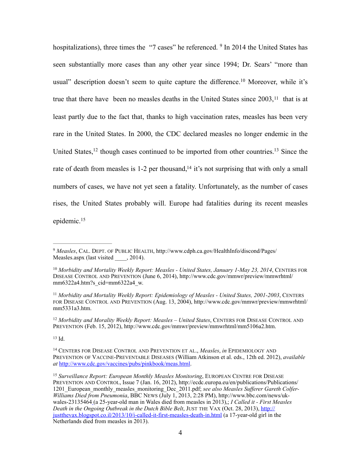<span id="page-3-9"></span><span id="page-3-8"></span><span id="page-3-7"></span>hospitalizations), three times the "7 cases" he referenced.  $9$  In 2014 the United States has seen substantially more cases than any other year since 1994; Dr. Sears' "more than usual" description doesn't seem to quite capture the difference.<sup>[10](#page-3-1)</sup> Moreover, while it's true that there have been no measles deaths in the United States since  $2003$ , <sup>[11](#page-3-2)</sup> that is at least partly due to the fact that, thanks to high vaccination rates, measles has been very rare in the United States. In 2000, the CDC declared measles no longer endemic in the United States[,](#page-3-3)  $12$  though cases continued to be imported from other countries[.](#page-3-4)  $13$  Since the rate of death from measles is 1-2 per thousand[,](#page-3-5)<sup>[14](#page-3-5)</sup> it's not surprising that with only a small numbers of cases, we have not yet seen a fatality. Unfortunately, as the number of cases rises, the United States probably will. Europe had fatalities during its recent measles epidemic. [15](#page-3-6)

<span id="page-3-4"></span> $13$ Id.

<span id="page-3-13"></span><span id="page-3-12"></span><span id="page-3-11"></span><span id="page-3-10"></span><span id="page-3-0"></span>*Measles*, CAL. DEPT. OF PUBLIC HEALTH, http://www.cdph.ca.gov/HealthInfo/discond/Pages/ [9](#page-3-7) Measles.aspx (last visited  $\qquad$ , 2014).

<span id="page-3-1"></span><sup>&</sup>lt;sup>[10](#page-3-8)</sup> Morbidity and Mortality Weekly Report: Measles - United States, January 1-May 23, 2014, CENTERS FOR DISEASE CONTROL AND PREVENTION (June 6, 2014), http://www.cdc.gov/mmwr/preview/mmwrhtml/ mm6322a4.htm?s\_cid=mm6322a4\_w.

<span id="page-3-2"></span><sup>&</sup>lt;sup>[11](#page-3-9)</sup> Morbidity and Mortality Weekly Report: Epidemiology of Measles - United States, 2001-2003, CENTERS FOR DISEASE CONTROL AND PREVENTION (Aug. 13, 2004), http://www.cdc.gov/mmwr/preview/mmwrhtml/ mm5331a3.htm.

<span id="page-3-3"></span>*Morbidity and Morality Weekly Report: Measles – United States*, CENTERS FOR DISEASE CONTROL AND [12](#page-3-10) PREVENTION (Feb. 15, 2012), http://www.cdc.gov/mmwr/preview/mmwrhtml/mm5106a2.htm.

<span id="page-3-5"></span><sup>&</sup>lt;sup>[14](#page-3-12)</sup> CENTERS FOR DISEASE CONTROL AND PREVENTION ET AL., *Measles*, *in* EPIDEMIOLOGY AND PREVENTION OF VACCINE-PREVENTABLE DISEASES (William Atkinson et al. eds., 12th ed. 2012), *available at* [http://www.cdc.gov/vaccines/pubs/pinkbook/meas.html.](http://www.cdc.gov/vaccines/pubs/pinkbook/meas.html)

<span id="page-3-6"></span><sup>&</sup>lt;sup>[15](#page-3-13)</sup> Surveillance Report: European Monthly Measles Monitoring, EUROPEAN CENTRE FOR DISEASE PREVENTION AND CONTROL, Issue 7 (Jan. 16, 2012), http://ecdc.europa.eu/en/publications/Publications/ 1201\_European\_monthly\_measles\_monitoring\_Dec\_2011.pdf; *see also Measles Sufferer Gareth Colfer-Williams Died from Pneumonia*, BBC NEWS (July 1, 2013, 2:28 PM), http://www.bbc.com/news/ukwales-23135464 (a 25-year-old man in Wales died from measles in 2013),; *I Called it - First Measles Death in the Ongoing Outbreak in the Dutch Bible Belt*, JUST THE VAX (Oct. 28, 2013), http:// [justthevax.blogspot.co.il/2013/10/i-called-it-first-measles-death-in.html](http://justthevax.blogspot.co.il/2013/10/i-called-it-first-measles-death-in.html) (a 17-year-old girl in the Netherlands died from measles in 2013).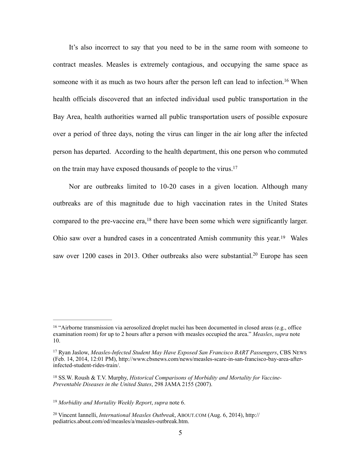<span id="page-4-5"></span>It's also incorrect to say that you need to be in the same room with someone to contract measles. Measles is extremely contagious, and occupying the same space as someonewith it as much as two hours after the person left can lead to infection.<sup>[16](#page-4-0)</sup> When health officials discovered that an infected individual used public transportation in the Bay Area, health authorities warned all public transportation users of possible exposure over a period of three days, noting the virus can linger in the air long after the infected person has departed. According to the health department, this one person who commuted on the train may have exposed thousands of people to the virus[.](#page-4-1) [17](#page-4-1)

<span id="page-4-8"></span><span id="page-4-7"></span><span id="page-4-6"></span>Nor are outbreaks limited to 10-20 cases in a given location. Although many outbreaks are of this magnitude due to high vaccination rates in the United States comparedto the pre-vaccine era,  $18$  there have been some which were significantly larger. Ohiosaw over a hundred cases in a concentrated Amish community this year.<sup>[19](#page-4-3)</sup> Wales saw over 1200 cases in 2013[.](#page-4-4) Other outbreaks also were substantial.<sup>[20](#page-4-4)</sup> Europe has seen

<span id="page-4-9"></span><span id="page-4-0"></span> $16$ "Airborne transmission via aerosolized droplet nuclei has been documented in closed areas (e.g., office examination room) for up to 2 hours after a person with measles occupied the area." *Measles*, *supra* note 10.

<span id="page-4-1"></span><sup>&</sup>lt;sup>[17](#page-4-6)</sup> Ryan Jaslow, *Measles-Infected Student May Have Exposed San Francisco BART Passengers*, CBS NEWS (Feb. 14, 2014, 12:01 PM), http://www.cbsnews.com/news/measles-scare-in-san-francisco-bay-area-afterinfected-student-rides-train/.

<span id="page-4-2"></span><sup>&</sup>lt;sup>[18](#page-4-7)</sup> SS.W. Roush & T.V. Murphy, *Historical Comparisons of Morbidity and Mortality for Vaccine-Preventable Diseases in the United States*, 298 JAMA 2155 (2007).

<span id="page-4-3"></span><sup>&</sup>lt;sup>[19](#page-4-8)</sup> Morbidity and Mortality Weekly Report, *supra* note 6.

<span id="page-4-4"></span>Vincent Iannelli, *International Measles Outbreak*, ABOUT.COM (Aug. 6, 2014), http:// [20](#page-4-9) pediatrics.about.com/od/measles/a/measles-outbreak.htm.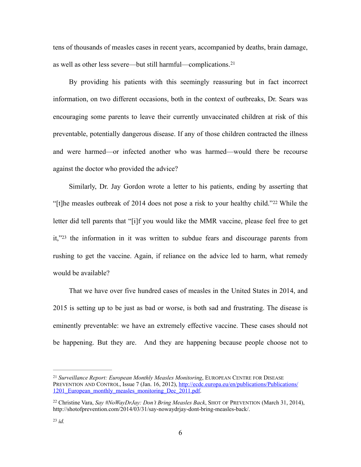tens of thousands of measles cases in recent years, accompanied by deaths, brain damage, as well as other less severe—but still harmful—complications. [21](#page-5-0)

<span id="page-5-3"></span>By providing his patients with this seemingly reassuring but in fact incorrect information, on two different occasions, both in the context of outbreaks, Dr. Sears was encouraging some parents to leave their currently unvaccinated children at risk of this preventable, potentially dangerous disease. If any of those children contracted the illness and were harmed—or infected another who was harmed—would there be recourse against the doctor who provided the advice?

<span id="page-5-4"></span>Similarly, Dr. Jay Gordon wrote a letter to his patients, ending by asserting that "[t]hemeasles outbreak of 2014 does not pose a risk to your healthy child." $22$  While the letter did tell parents that "[i]f you would like the MMR vaccine, please feel free to get  $it$ ,"<sup>23</sup>the information in it was written to subdue fears and discourage parents from rushing to get the vaccine. Again, if reliance on the advice led to harm, what remedy would be available?

<span id="page-5-5"></span>That we have over five hundred cases of measles in the United States in 2014, and 2015 is setting up to be just as bad or worse, is both sad and frustrating. The disease is eminently preventable: we have an extremely effective vaccine. These cases should not be happening. But they are. And they are happening because people choose not to

<span id="page-5-0"></span><sup>&</sup>lt;sup>[21](#page-5-3)</sup> Surveillance Report: European Monthly Measles Monitoring, EUROPEAN CENTRE FOR DISEASE PREVENTION [AND CONTROL, Issue 7 \(Jan. 16, 2012\), http://ecdc.europa.eu/en/publications/Publications/](http://ecdc.europa.eu/en/publications/Publications/1201_European_monthly_measles_monitoring_Dec_2011.pdf) 1201 European monthly measles monitoring Dec 2011.pdf.

<span id="page-5-2"></span><span id="page-5-1"></span><sup>&</sup>lt;sup>[22](#page-5-4)</sup> Christine Vara, *Say #NoWayDrJay: Don't Bring Measles Back*, SHOT OF PREVENTION (March 31, 2014), http://shotofprevention.com/2014/03/31/say-nowaydrjay-dont-bring-measles-back/.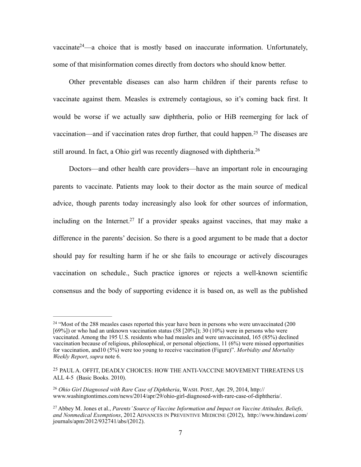<span id="page-6-4"></span>vaccinate<sup>[24](#page-6-0)</sup>—a choice that is mostly based on inaccurate information. Unfortunately, some of that misinformation comes directly from doctors who should know better.

Other preventable diseases can also harm children if their parents refuse to vaccinate against them. Measles is extremely contagious, so it's coming back first. It would be worse if we actually saw diphtheria, polio or HiB reemerging for lack of vaccination—and if vaccination rates drop further, that could happen[.](#page-6-1)<sup>[25](#page-6-1)</sup> The diseases are still around. In fact, a Ohio girl was recently diagnosed with diphtheria.<sup>26</sup>

<span id="page-6-7"></span><span id="page-6-6"></span><span id="page-6-5"></span>Doctors—and other health care providers—have an important role in encouraging parents to vaccinate. Patients may look to their doctor as the main source of medical advice, though parents today increasingly also look for other sources of information, including on the Internet[.](#page-6-3)<sup>[27](#page-6-3)</sup> If a provider speaks against vaccines, that may make a difference in the parents' decision. So there is a good argument to be made that a doctor should pay for resulting harm if he or she fails to encourage or actively discourages vaccination on schedule., Such practice ignores or rejects a well-known scientific consensus and the body of supporting evidence it is based on, as well as the published

<span id="page-6-0"></span> $24$ "Most of the 288 measles cases reported this year have been in persons who were unvaccinated (200) [69%]) or who had an unknown vaccination status (58 [20%]);  $30(10%)$  were in persons who were vaccinated. Among the 195 U.S. residents who had measles and were unvaccinated, 165 (85%) declined vaccination because of religious, philosophical, or personal objections, 11 (6%) were missed opportunities for vaccination, and10 (5%) were too young to receive vaccination (Figure)". *Morbidity and Mortality Weekly Report*, *supra* note 6.

<span id="page-6-1"></span><sup>&</sup>lt;sup>[25](#page-6-5)</sup> PAUL A. OFFIT, DEADLY CHOICES: HOW THE ANTI-VACCINE MOVEMENT THREATENS US ALL 4-5 (Basic Books. 2010).

<span id="page-6-2"></span>*Ohio Girl Diagnosed with Rare Case of Diphtheria*, WASH. POST, Apr. 29, 2014, http:// [26](#page-6-6) www.washingtontimes.com/news/2014/apr/29/ohio-girl-diagnosed-with-rare-case-of-diphtheria/.

<span id="page-6-3"></span>Abbey M. Jones et al., *Parents' Source of Vaccine Information and Impact on Vaccine Attitudes, Beliefs,* [27](#page-6-7) *and Nonmedical Exemptions*, 2012 ADVANCES IN PREVENTIVE MEDICINE (2012), http://www.hindawi.com/ journals/apm/2012/932741/abs/(2012).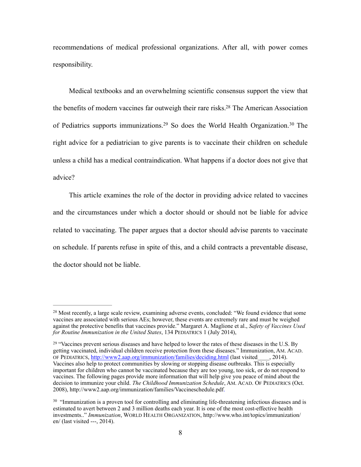recommendations of medical professional organizations. After all, with power comes responsibility.

<span id="page-7-5"></span><span id="page-7-4"></span><span id="page-7-3"></span>Medical textbooks and an overwhelming scientific consensus support the view that the benefits of modern vaccines far outweigh their rare risks[.](#page-7-0)<sup>[28](#page-7-0)</sup> The American Association of Pediatrics supports immunizations[.](#page-7-1)<sup>29</sup>So does the World Health Organization.<sup>30</sup> The right advice for a pediatrician to give parents is to vaccinate their children on schedule unless a child has a medical contraindication. What happens if a doctor does not give that advice?

This article examines the role of the doctor in providing advice related to vaccines and the circumstances under which a doctor should or should not be liable for advice related to vaccinating. The paper argues that a doctor should advise parents to vaccinate on schedule. If parents refuse in spite of this, and a child contracts a preventable disease, the doctor should not be liable.

<span id="page-7-0"></span> $28$ Most recently, a large scale review, examining adverse events, concluded: "We found evidence that some vaccines are associated with serious AEs; however, these events are extremely rare and must be weighed against the protective benefits that vaccines provide." Margaret A. Maglione et al., *Safety of Vaccines Used for Routine Immunization in the United States*, 134 PEDIATRICS 1 (July 2014),

<span id="page-7-1"></span> $29$ "Vaccines prevent serious diseases and have helped to lower the rates of these diseases in the U.S. By getting vaccinated, individual children receive protection from these diseases." Immunization, AM. ACAD. OF PEDIATRICS,<http://www2.aap.org/immunization/families/deciding.html> (last visited...) 2014). Vaccines also help to protect communities by slowing or stopping disease outbreaks. This is especially important for children who cannot be vaccinated because they are too young, too sick, or do not respond to vaccines. The following pages provide more information that will help give you peace of mind about the decision to immunize your child. *The Childhood Immunization Schedule*, AM. ACAD. OF PEDIATRICS (Oct. 2008), http://www2.aap.org/immunization/families/Vaccineschedule.pdf.

<span id="page-7-2"></span><sup>&</sup>lt;sup>30</sup>"Immunization is a proven tool for controlling and eliminating life-threatening infectious diseases and is estimated to avert between 2 and 3 million deaths each year. It is one of the most cost-effective health investments.." *Immunization*, WORLD HEALTH ORGANIZATION, http://www.who.int/topics/immunization/ en/ (last visited ---, 2014).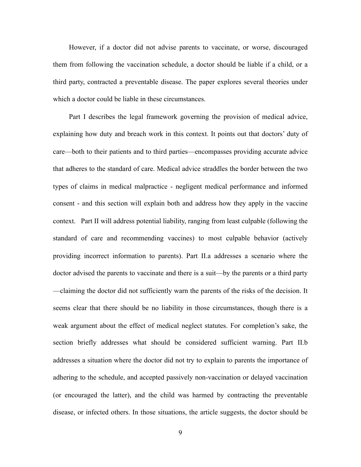However, if a doctor did not advise parents to vaccinate, or worse, discouraged them from following the vaccination schedule, a doctor should be liable if a child, or a third party, contracted a preventable disease. The paper explores several theories under which a doctor could be liable in these circumstances.

Part I describes the legal framework governing the provision of medical advice, explaining how duty and breach work in this context. It points out that doctors' duty of care—both to their patients and to third parties—encompasses providing accurate advice that adheres to the standard of care. Medical advice straddles the border between the two types of claims in medical malpractice - negligent medical performance and informed consent - and this section will explain both and address how they apply in the vaccine context. Part II will address potential liability, ranging from least culpable (following the standard of care and recommending vaccines) to most culpable behavior (actively providing incorrect information to parents). Part II.a addresses a scenario where the doctor advised the parents to vaccinate and there is a suit—by the parents or a third party —claiming the doctor did not sufficiently warn the parents of the risks of the decision. It seems clear that there should be no liability in those circumstances, though there is a weak argument about the effect of medical neglect statutes. For completion's sake, the section briefly addresses what should be considered sufficient warning. Part II.b addresses a situation where the doctor did not try to explain to parents the importance of adhering to the schedule, and accepted passively non-vaccination or delayed vaccination (or encouraged the latter), and the child was harmed by contracting the preventable disease, or infected others. In those situations, the article suggests, the doctor should be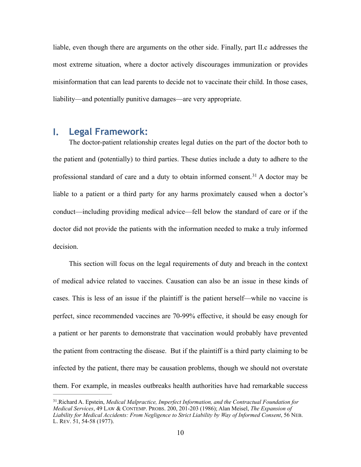liable, even though there are arguments on the other side. Finally, part II.c addresses the most extreme situation, where a doctor actively discourages immunization or provides misinformation that can lead parents to decide not to vaccinate their child. In those cases, liability—and potentially punitive damages—are very appropriate.

# **I. Legal Framework:**

<span id="page-9-1"></span>The doctor-patient relationship creates legal duties on the part of the doctor both to the patient and (potentially) to third parties. These duties include a duty to adhere to the professionalstandard of care and a duty to obtain informed consent.<sup>[31](#page-9-0)</sup> A doctor may be liable to a patient or a third party for any harms proximately caused when a doctor's conduct—including providing medical advice—fell below the standard of care or if the doctor did not provide the patients with the information needed to make a truly informed decision.

This section will focus on the legal requirements of duty and breach in the context of medical advice related to vaccines. Causation can also be an issue in these kinds of cases. This is less of an issue if the plaintiff is the patient herself—while no vaccine is perfect, since recommended vaccines are 70-99% effective, it should be easy enough for a patient or her parents to demonstrate that vaccination would probably have prevented the patient from contracting the disease. But if the plaintiff is a third party claiming to be infected by the patient, there may be causation problems, though we should not overstate them. For example, in measles outbreaks health authorities have had remarkable success

<span id="page-9-0"></span><sup>.</sup>Richard A. Epstein, *Medical Malpractice, Imperfect Information, and the Contractual Foundation for* [31](#page-9-1) *Medical Services*, 49 LAW & CONTEMP. PROBS. 200, 201-203 (1986); Alan Meisel, *The Expansion of Liability for Medical Accidents: From Negligence to Strict Liability by Way of Informed Consent*, 56 NEB. L. REV. 51, 54-58 (1977).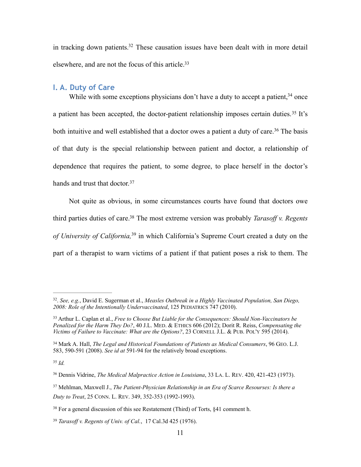<span id="page-10-8"></span>in tracking down patients[.](#page-10-0)<sup>[32](#page-10-0)</sup> These causation issues have been dealt with in more detail elsewhere, and are not the focus of this article[.](#page-10-1) [33](#page-10-1)

## <span id="page-10-9"></span>**I. A. Duty of Care**

<span id="page-10-12"></span><span id="page-10-11"></span><span id="page-10-10"></span>While with some exceptions physicians don't have a duty to accept a patient[,](#page-10-2)  $34$  once apatient has been accepted, the doctor-patient relationship imposes certain duties.<sup>[35](#page-10-3)</sup> It's bothintuitive and well established that a doctor owes a patient a duty of care.<sup>[36](#page-10-4)</sup> The basis of that duty is the special relationship between patient and doctor, a relationship of dependence that requires the patient, to some degree, to place herself in the doctor's hands and trust that doctor.<sup>37</sup>

<span id="page-10-15"></span><span id="page-10-14"></span><span id="page-10-13"></span>Not quite as obvious, in some circumstances courts have found that doctors owe third parties duties of care[.](#page-10-6)<sup>38</sup> The most extreme version was probably *Tarasoff v. Regents ofUniversity of California*,<sup>[39](#page-10-7)</sup> in which California's Supreme Court created a duty on the part of a therapist to warn victims of a patient if that patient poses a risk to them. The

<span id="page-10-0"></span><sup>.</sup> *See, e.g.*, David E. Sugerman et al., *Measles Outbreak in a Highly Vaccinated Population, San Diego,* [32](#page-10-8) *2008: Role of the Intentionally Undervaccinated*, 125 PEDIATRICS 747 (2010).

<span id="page-10-1"></span>Arthur L. Caplan et al., *Free to Choose But Liable for the Consequences: Should Non-Vaccinators be* [33](#page-10-9) *Penalized for the Harm They Do?*, 40 J.L. MED. & ETHICS 606 (2012); Dorit R. Reiss, *Compensating the Victims of Failure to Vaccinate: What are the Options?*, 23 CORNELL J.L. & PUB. POL'Y 595 (2014).

<span id="page-10-2"></span><sup>&</sup>lt;sup>[34](#page-10-10)</sup> Mark A. Hall, *The Legal and Historical Foundations of Patients as Medical Consumers*, 96 GEO. L.J. 583, 590-591 (2008). *See id at* 591-94 for the relatively broad exceptions.

<span id="page-10-3"></span> $35$  *Id.* 

<span id="page-10-4"></span><sup>&</sup>lt;sup>[36](#page-10-12)</sup> Dennis Vidrine, *The Medical Malpractice Action in Louisiana*, 33 LA. L. REV. 420, 421-423 (1973).

<span id="page-10-5"></span><sup>&</sup>lt;sup>[37](#page-10-13)</sup> Mehlman, Maxwell J., *The Patient-Physician Relationship in an Era of Scarce Resourses: Is there a Duty to Treat*, 25 CONN. L. REV. 349, 352-353 (1992-1993).

<span id="page-10-6"></span><sup>&</sup>lt;sup>38</sup>For a general discussion of this see Restatement (Third) of Torts, §41 comment h.

<span id="page-10-7"></span><sup>&</sup>lt;sup>[39](#page-10-15)</sup> Tarasoff v. Regents of Univ. of Cal., 17 Cal.3d 425 (1976).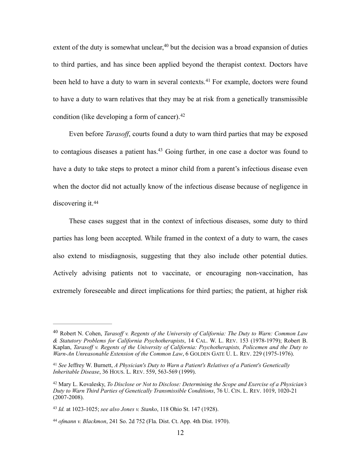<span id="page-11-6"></span><span id="page-11-5"></span>extent of the duty is somewhat unclear[,](#page-11-0)  $40$  but the decision was a broad expansion of duties to third parties, and has since been applied beyond the therapist context. Doctors have beenheld to have a duty to warn in several contexts.<sup>[41](#page-11-1)</sup> For example, doctors were found to have a duty to warn relatives that they may be at risk from a genetically transmissible condition (like developing a form of cancer). [42](#page-11-2)

<span id="page-11-8"></span><span id="page-11-7"></span>Even before *Tarasoff*, courts found a duty to warn third parties that may be exposed to contagious diseases a patient has[.](#page-11-3)<sup>[43](#page-11-3)</sup> Going further, in one case a doctor was found to have a duty to take steps to protect a minor child from a parent's infectious disease even when the doctor did not actually know of the infectious disease because of negligence in discovering it.<sup>[44](#page-11-4)</sup>

<span id="page-11-9"></span>These cases suggest that in the context of infectious diseases, some duty to third parties has long been accepted. While framed in the context of a duty to warn, the cases also extend to misdiagnosis, suggesting that they also include other potential duties. Actively advising patients not to vaccinate, or encouraging non-vaccination, has extremely foreseeable and direct implications for third parties; the patient, at higher risk

<span id="page-11-0"></span>Robert N. Cohen, *Tarasoff v. Regents of the University of California: The Duty to Warn: Common Law* [40](#page-11-5) *& Statutory Problems for California Psychotherapists*, 14 CAL. W. L. REV. 153 (1978-1979); Robert B. Kaplan, *Tarasoff v. Regents of the University of California: Psychotherapists, Policemen and the Duty to Warn-An Unreasonable Extension of the Common Law*, 6 GOLDEN GATE U. L. REV. 229 (1975-1976).

<span id="page-11-1"></span>*See* Jeffrey W. Burnett, *A Physician's Duty to Warn a Patient's Relatives of a Patient's Genetically* [41](#page-11-6) *Inheritable Disease*, 36 HOUS. L. REV. 559, 563-569 (1999).

<span id="page-11-2"></span>Mary L. Kovalesky, *To Disclose or Not to Disclose: Determining the Scope and Exercise of a Physician's* [42](#page-11-7) *Duty to Warn Third Parties of Genetically Transmissible Conditions*, 76 U. CIN. L. REV. 1019, 1020-21 (2007-2008).

<span id="page-11-3"></span>*Id.* at 1023-1025; *see also Jones v. Stanko*, 118 Ohio St. 147 (1928). [43](#page-11-8)

<span id="page-11-4"></span>*ofmann v. Blackmon*, 241 So. 2d 752 (Fla. Dist. Ct. App. 4th Dist. 1970). [44](#page-11-9)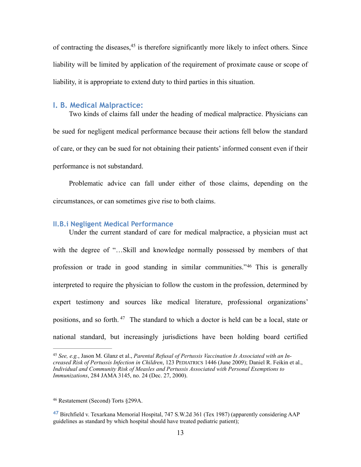<span id="page-12-3"></span>ofcontracting the diseases,  $45$  is therefore significantly more likely to infect others. Since liability will be limited by application of the requirement of proximate cause or scope of liability, it is appropriate to extend duty to third parties in this situation.

### **I. B. Medical Malpractice:**

Two kinds of claims fall under the heading of medical malpractice. Physicians can be sued for negligent medical performance because their actions fell below the standard of care, or they can be sued for not obtaining their patients' informed consent even if their performance is not substandard.

Problematic advice can fall under either of those claims, depending on the circumstances, or can sometimes give rise to both claims.

#### **II.B.i Negligent Medical Performance**

<span id="page-12-4"></span>Under the current standard of care for medical malpractice, a physician must act with the degree of "...Skill and knowledge normally possessed by members of that professionor trade in good standing in similar communities."<sup>[46](#page-12-1)</sup> This is generally interpreted to require the physician to follow the custom in the profession, determined by expert testimony and sources like medical literature, professional organizations' positions, and so forth.  $47$  The standard to which a doctor is held can be a local, state or national standard, but increasingly jurisdictions have been holding board certified

<span id="page-12-5"></span><span id="page-12-0"></span>*See, e.g.*, Jason M. Glanz et al., *Parental Refusal of Pertussis Vaccination Is Associated with an In-* [45](#page-12-3) *creased Risk of Pertussis Infection in Children*, 123 PEDIATRICS 1446 (June 2009); Daniel R. Feikin et al., *Individual and Community Risk of Measles and Pertussis Associated with Personal Exemptions to Immunizations*, 284 JAMA 3145, no. 24 (Dec. 27, 2000).

<span id="page-12-1"></span><sup>&</sup>lt;sup>[46](#page-12-4)</sup> Restatement (Second) Torts §299A.

<span id="page-12-2"></span>Birchfield v. Texarkana Memorial Hospital, 747 S.W.2d 361 (Tex 1987) (apparently considering AAP **[47](#page-12-5)** guidelines as standard by which hospital should have treated pediatric patient);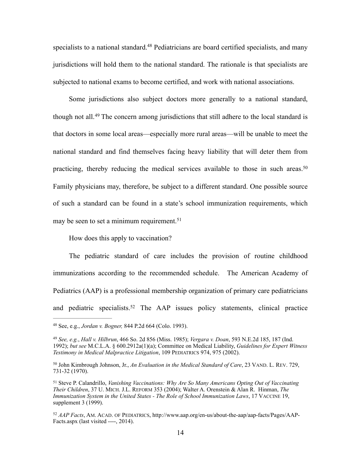<span id="page-13-5"></span>specialiststo a national standard.<sup>[48](#page-13-0)</sup> Pediatricians are board certified specialists, and many jurisdictions will hold them to the national standard. The rationale is that specialists are subjected to national exams to become certified, and work with national associations.

<span id="page-13-6"></span>Some jurisdictions also subject doctors more generally to a national standard, thoughnot all.<sup>[49](#page-13-1)</sup> The concern among jurisdictions that still adhere to the local standard is that doctors in some local areas—especially more rural areas—will be unable to meet the national standard and find themselves facing heavy liability that will deter them from practicing, thereby reducing the medical services available to those in such areas.[50](#page-13-2) Family physicians may, therefore, be subject to a different standard. One possible source of such a standard can be found in a state's school immunization requirements, which may be seen to set a minimum requirement.<sup>51</sup>

<span id="page-13-8"></span><span id="page-13-7"></span>How does this apply to vaccination?

The pediatric standard of care includes the provision of routine childhood immunizations according to the recommended schedule. The American Academy of Pediatrics (AAP) is a professional membership organization of primary care pediatricians and pediatric specialists[.](#page-13-4)<sup>[52](#page-13-4)</sup> The AAP issues policy statements, clinical practice

<span id="page-13-9"></span><span id="page-13-0"></span>See, e.g., *Jordan v. Bogner,* 844 P.2d 664 (Colo. 1993). [48](#page-13-5)

<span id="page-13-1"></span>*See, e.g.*, *Hall v. Hilbrun*, 466 So. 2d 856 (Miss. 1985); *Vergara v. Doan*, 593 N.E.2d 185, 187 (Ind. [49](#page-13-6) 1992); *but see* M.C.L.A. § 600.2912a(1)(a); Committee on Medical Liability, *Guidelines for Expert Witness Testimony in Medical Malpractice Litigation*, 109 PEDIATRICS 974, 975 (2002).

<span id="page-13-2"></span><sup>&</sup>lt;sup>[50](#page-13-7)</sup> John Kimbrough Johnson, Jr., An Evaluation in the Medical Standard of Care, 23 VAND. L. REV. 729, 731-32 (1970).

<span id="page-13-3"></span>Steve P. Calandrillo, *Vanishing Vaccinations: Why Are So Many Americans Opting Out of Vaccinating* [51](#page-13-8) *Their Children*, 37 U. MICH. J.L. REFORM 353 (2004); Walter A. Orenstein & Alan R. Hinman, *The Immunization System in the United States - The Role of School Immunization Laws*, 17 VACCINE 19, supplement 3 (1999).

<span id="page-13-4"></span>*AAP Facts*, AM. ACAD. OF PEDIATRICS, http://www.aap.org/en-us/about-the-aap/aap-facts/Pages/AAP- [52](#page-13-9) Facts.aspx (last visited ----, 2014).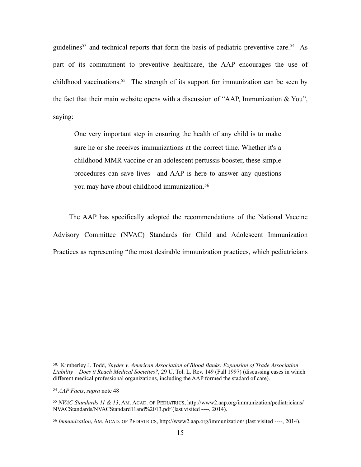guidelines<sup>53</sup> and technical reports that form the basis of pediatric preventive care.<sup>54</sup> As part of its commitment to preventive healthcare, the AAP encourages the use of childhood vaccinations[.](#page-14-1)<sup>[55](#page-14-1)</sup> The strength of its support for immunization can be seen by the fact that their main website opens with a discussion of "AAP, Immunization & You", saying:

<span id="page-14-5"></span><span id="page-14-4"></span><span id="page-14-3"></span>One very important step in ensuring the health of any child is to make sure he or she receives immunizations at the correct time. Whether it's a childhood MMR vaccine or an adolescent pertussis booster, these simple procedures can save lives—and AAP is here to answer any questions you may have about childhood immunization.[56](#page-14-2)

The AAP has specifically adopted the recommendations of the National Vaccine Advisory Committee (NVAC) Standards for Child and Adolescent Immunization Practices as representing "the most desirable immunization practices, which pediatricians

<sup>50.</sup> Kimberley J. Todd, *Snyder v. American Association of Blood Banks: Expansion of Trade Association Liability – Does it Reach Medical Societies?*, 29 U. Tol. L. Rev. 149 (Fall 1997) (discussing cases in which different medical professional organizations, including the AAP formed the stadard of care).

<span id="page-14-0"></span><sup>&</sup>lt;sup>[54](#page-14-3)</sup> AAP Facts, *supra* note 48

<span id="page-14-1"></span>*NVAC Standards 11 & 13*, AM. ACAD. OF PEDIATRICS, http://www2.aap.org/immunization/pediatricians/ [55](#page-14-4) NVACStandards/NVACStandard11and%2013.pdf (last visited ----, 2014).

<span id="page-14-2"></span><sup>&</sup>lt;sup>[56](#page-14-5)</sup> Immunization, AM. ACAD. OF PEDIATRICS, http://www2.aap.org/immunization/ (last visited ----, 2014).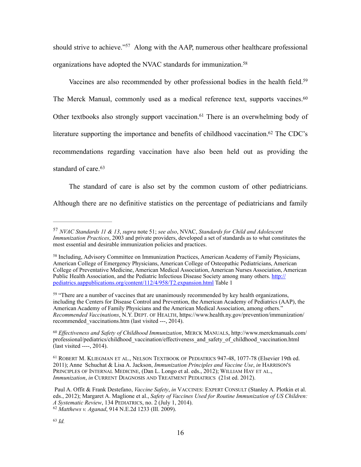<span id="page-15-7"></span>should strive to achieve.["](#page-15-0)<sup>[57](#page-15-0)</sup> Along with the AAP, numerous other healthcare professional organizations have adopted the NVAC standards for immunization[.58](#page-15-1)

<span id="page-15-11"></span><span id="page-15-10"></span><span id="page-15-9"></span><span id="page-15-8"></span>Vaccines are also recommended by other professional bodies in the health field.<sup>[59](#page-15-2)</sup> The Merck Manual, commonly used as a medical reference text, supports vaccines.<sup>[60](#page-15-3)</sup> Other textbooks also strongly support vaccination[.](#page-15-4)<sup>[61](#page-15-4)</sup> There is an overwhelming body of literature supporting the importance and benefits of childhood vaccination[.](#page-15-5)<sup>[62](#page-15-5)</sup> The CDC's recommendations regarding vaccination have also been held out as providing the standard of care.<sup>[63](#page-15-6)</sup>

<span id="page-15-13"></span><span id="page-15-12"></span>The standard of care is also set by the common custom of other pediatricians. Although there are no definitive statistics on the percentage of pediatricians and family

<span id="page-15-0"></span>*NVAC Standards 11 & 13*, *supra* note 51; *see also*, NVAC, *Standards for Child and Adolescent* [57](#page-15-7) *Immunization Practices*, 2003 and private providers, developed a set of standards as to what constitutes the most essential and desirable immunization policies and practices.

<span id="page-15-1"></span><sup>&</sup>lt;sup>58</sup>Including, Advisory Committee on Immunization Practices, American Academy of Family Physicians, American College of Emergency Physicians, American College of Osteopathic Pediatricians, American College of Preventative Medicine, American Medical Association, American Nurses Association, American [Public Health Association, and the Pediatric Infectious Disease Society among many others. http://](http://pediatrics.aappublications.org/content/112/4/958/T2.expansion.html) pediatrics.aappublications.org/content/112/4/958/T2.expansion.html Table 1

<span id="page-15-2"></span><sup>&</sup>lt;sup>59</sup>"There are a number of vaccines that are unanimously recommended by key health organizations, including the Centers for Disease Control and Prevention, the American Academy of Pediatrics (AAP), the American Academy of Family Physicians and the American Medical Association, among others." *Recommended Vaccinations*, N.Y. DEPT. OF HEALTH, https://www.health.ny.gov/prevention/immunization/ recommended vaccinations.htm (last visited ---, 2014).

<span id="page-15-3"></span>*Effectiveness and Safety of Childhood Immunization*, MERCK MANUALS, http://www.merckmanuals.com/ [60](#page-15-10) professional/pediatrics/childhood\_vaccination/effectiveness\_and\_safety\_of\_childhood\_vaccination.html (last visited ----, 2014).

<span id="page-15-4"></span><sup>&</sup>lt;sup>[61](#page-15-11)</sup> ROBERT M. KLIEGMAN ET AL., NELSON TEXTBOOK OF PEDIATRICS 947-48, 1077-78 (Elsevier 19th ed. 2011); Anne Schuchat & Lisa A. Jackson, *Immunization Principles and Vaccine Use*, *in* HARRISON'S PRINCIPLES OF INTERNAL MEDICINE, (Dan L. Longo et al. eds., 2012); WILLIAM HAY ET AL., *Immunization*, *in* CURRENT DIAGNOSIS AND TREATMENT PEDIATRICS (21st ed. 2012).

<span id="page-15-6"></span><span id="page-15-5"></span>Paul A. Offit & Frank Destefano, *Vaccine Safety*, *in* VACCINES: EXPERT CONSULT (Stanley A. Plotkin et al. eds., 2012); Margaret A. Maglione et al., *Safety of Vaccines Used for Routine Immunization of US Children: A Systematic Review*, 134 PEDIATRICS, no. 2 (July 1, 2014). *Matthews v. Aganad*, 914 N.E.2d 1233 (Ill. 2009). [62](#page-15-12)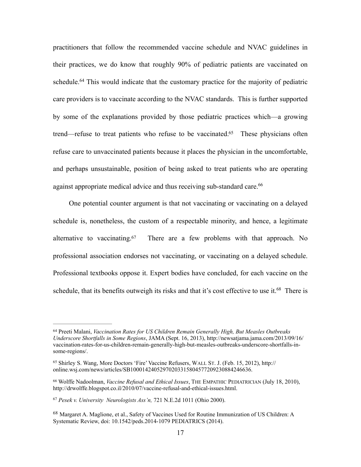<span id="page-16-5"></span>practitioners that follow the recommended vaccine schedule and NVAC guidelines in their practices, we do know that roughly 90% of pediatric patients are vaccinated on schedule.<sup>64</sup>This would indicate that the customary practice for the majority of pediatric care providers is to vaccinate according to the NVAC standards. This is further supported by some of the explanations provided by those pediatric practices which—a growing trend—refuse to treat patients who refuse to be vaccinated[.](#page-16-1)<sup> $65$ </sup> These physicians often refuse care to unvaccinated patients because it places the physician in the uncomfortable, and perhaps unsustainable, position of being asked to treat patients who are operating against appropriate medical advice and thus receiving sub-standard care[.](#page-16-2)<sup>[66](#page-16-2)</sup>

<span id="page-16-8"></span><span id="page-16-7"></span><span id="page-16-6"></span>One potential counter argument is that not vaccinating or vaccinating on a delayed schedule is, nonetheless, the custom of a respectable minority, and hence, a legitimate alternative to vaccinating[.](#page-16-3)<sup>[67](#page-16-3)</sup> There are a few problems with that approach. No professional association endorses not vaccinating, or vaccinating on a delayed schedule. Professional textbooks oppose it. Expert bodies have concluded, for each vaccine on the schedule, that its benefits outweigh its risks and that it's cost effective to use it[.](#page-16-4)<sup>[68](#page-16-4)</sup> There is

<span id="page-16-9"></span><span id="page-16-0"></span>Preeti Malani, *Vaccination Rates for US Children Remain Generally High, But Measles Outbreaks* [64](#page-16-5) *Underscore Shortfalls in Some Regions*, JAMA (Sept. 16, 2013), http://newsatjama.jama.com/2013/09/16/ vaccination-rates-for-us-children-remain-generally-high-but-measles-outbreaks-underscore-shortfalls-insome-regions/.

<span id="page-16-1"></span><sup>&</sup>lt;sup>[65](#page-16-6)</sup> Shirley S. Wang, More Doctors 'Fire' Vaccine Refusers, WALL ST. J. (Feb. 15, 2012), http:// online.wsj.com/news/articles/SB10001424052970203315804577209230884246636.

<span id="page-16-2"></span><sup>&</sup>lt;sup>[66](#page-16-7)</sup> Wolffe Nadoolman, *Vaccine Refusal and Ethical Issues*, THE EMPATHIC PEDIATRICIAN (July 18, 2010), http://drwolffe.blogspot.co.il/2010/07/vaccine-refusal-and-ethical-issues.html.

<span id="page-16-3"></span><sup>&</sup>lt;sup>[67](#page-16-8)</sup> Pesek v. University Neurologists Ass'n, 721 N.E.2d 1011 (Ohio 2000).

<span id="page-16-4"></span><sup>&</sup>lt;sup>[68](#page-16-9)</sup> Margaret A. Maglione, et al., Safety of Vaccines Used for Routine Immunization of US Children: A Systematic Review, doi: 10.1542/peds.2014-1079 PEDIATRICS (2014).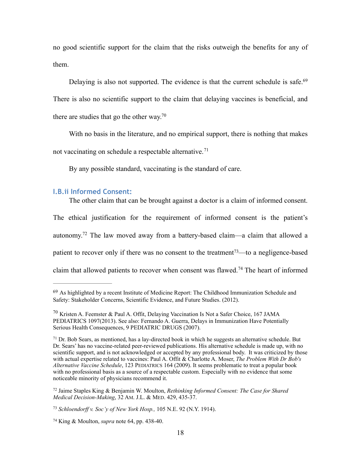no good scientific support for the claim that the risks outweigh the benefits for any of them.

Delaying is also not supported. The evidence is that the current schedule is safe.<sup>[69](#page-17-0)</sup> There is also no scientific support to the claim that delaying vaccines is beneficial, and there are studies that go the other way[.](#page-17-1)<sup>[70](#page-17-1)</sup>

With no basis in the literature, and no empirical support, there is nothing that makes

not vaccinating on schedule a respectable alternative.<sup>71</sup>

<span id="page-17-8"></span><span id="page-17-7"></span><span id="page-17-6"></span>By any possible standard, vaccinating is the standard of care.

## **I.B.ii Informed Consent:**

<span id="page-17-10"></span>The other claim that can be brought against a doctor is a claim of informed consent.

The ethical justification for the requirement of informed consent is the patient's

<span id="page-17-9"></span>autonomy[.](#page-17-3)<sup>[72](#page-17-3)</sup> The law moved away from a battery-based claim—a claim that allowed a

patient to recover only if there was no consent to the treatment<sup>73</sup>[—](#page-17-4)to a negligence-based

<span id="page-17-11"></span>claimthat allowed patients to recover when consent was flawed.<sup>[74](#page-17-5)</sup> The heart of informed

<span id="page-17-0"></span> $69$  As highlighted by a recent Institute of Medicine Report: The Childhood Immunization Schedule and Safety: Stakeholder Concerns, Scientific Evidence, and Future Studies. (2012).

<span id="page-17-1"></span> $^{70}$  $^{70}$  $^{70}$  Kristen A. Feemster & Paul A. Offit, Delaying Vaccination Is Not a Safer Choice, 167 JAMA PEDIATRICS 1097(2013). See also: Fernando A. Guerra, Delays in Immunization Have Potentially Serious Health Consequences, 9 PEDIATRIC DRUGS (2007).

<span id="page-17-2"></span> $71$ Dr. Bob Sears, as mentioned, has a lay-directed book in which he suggests an alternative schedule. But Dr. Sears' has no vaccine-related peer-reviewed publications. His alternative schedule is made up, with no scientific support, and is not acknowledged or accepted by any professional body. It was criticized by those with actual expertise related to vaccines: Paul A. Offit & Charlotte A. Moser, *The Problem With Dr Bob's Alternative Vaccine Schedule*, 123 PEDIATRICS 164 (2009). It seems problematic to treat a popular book with no professional basis as a source of a respectable custom. Especially with no evidence that some noticeable minority of physicians recommend it.

<span id="page-17-3"></span>Jaime Staples King & Benjamin W. Moulton, *Rethinking Informed Consent: The Case for Shared* [72](#page-17-9) *Medical Decision-Making*, 32 AM. J.L. & MED. 429, 435-37.

<span id="page-17-4"></span>*Schloendorff v. Soc'y of New York Hosp.,* 105 N.E. 92 (N.Y. 1914). [73](#page-17-10)

<span id="page-17-5"></span><sup>&</sup>lt;sup>[74](#page-17-11)</sup> King & Moulton, *supra* note 64, pp. 438-40.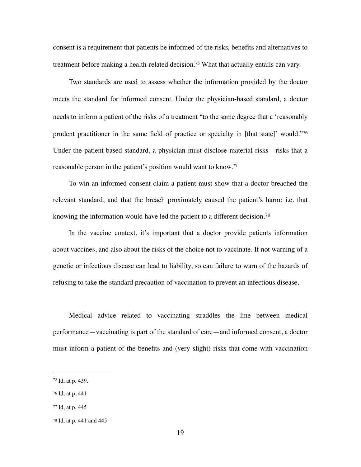consent is a requirement that patients be informed of the risks, benefits and alternatives to treatment before making a health-related decision[.](#page-18-0)<sup>[75](#page-18-0)</sup> What that actually entails can vary.

<span id="page-18-4"></span>Two standards are used to assess whether the information provided by the doctor meets the standard for informed consent. Under the physician-based standard, a doctor needs to inform a patient of the risks of a treatment "to the same degree that a 'reasonably prudent practitioner in the same field of practice or specialty in [that state]' would."[76](#page-18-1) Under the patient-based standard, a physician must disclose material risks—risks that a reasonable person in the patient's position would want to know[.77](#page-18-2)

<span id="page-18-6"></span><span id="page-18-5"></span>To win an informed consent claim a patient must show that a doctor breached the relevant standard, and that the breach proximately caused the patient's harm: i.e. that knowing the information would have led the patient to a different decision.<sup>[78](#page-18-3)</sup>

<span id="page-18-7"></span>In the vaccine context, it's important that a doctor provide patients information about vaccines, and also about the risks of the choice not to vaccinate. If not warning of a genetic or infectious disease can lead to liability, so can failure to warn of the hazards of refusing to take the standard precaution of vaccination to prevent an infectious disease.

Medical advice related to vaccinating straddles the line between medical performance—vaccinating is part of the standard of care—and informed consent, a doctor must inform a patient of the benefits and (very slight) risks that come with vaccination

<span id="page-18-0"></span> $75$  Id, at p. 439.

<span id="page-18-1"></span>[<sup>76</sup>](#page-18-5) Id, at p. 441

<span id="page-18-2"></span> $77$  Id, at p. 445

<span id="page-18-3"></span>[<sup>78</sup>](#page-18-7) Id, at p. 441 and 445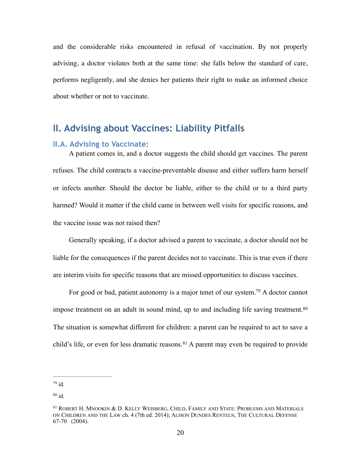and the considerable risks encountered in refusal of vaccination. By not properly advising, a doctor violates both at the same time: she falls below the standard of care, performs negligently, and she denies her patients their right to make an informed choice about whether or not to vaccinate.

# **II. Advising about Vaccines: Liability Pitfalls**

## **II.A. Advising to Vaccinate:**

A patient comes in, and a doctor suggests the child should get vaccines. The parent refuses. The child contracts a vaccine-preventable disease and either suffers harm herself or infects another. Should the doctor be liable, either to the child or to a third party harmed? Would it matter if the child came in between well visits for specific reasons, and the vaccine issue was not raised then?

Generally speaking, if a doctor advised a parent to vaccinate, a doctor should not be liable for the consequences if the parent decides not to vaccinate. This is true even if there are interim visits for specific reasons that are missed opportunities to discuss vaccines.

<span id="page-19-4"></span><span id="page-19-3"></span>For good or bad, patient autonomy is a major tenet of our system[.](#page-19-0)<sup>[79](#page-19-0)</sup> A doctor cannot impose treatment on an adult in sound mind, up to and including life saving treatment.<sup>[80](#page-19-1)</sup> The situation is somewhat different for children: a parent can be required to act to save a child'slife, or even for less dramatic reasons. <sup>[81](#page-19-2)</sup> A parent may even be required to provide

<span id="page-19-5"></span><span id="page-19-0"></span> $79$ id.

<span id="page-19-1"></span> $b$ id

<span id="page-19-2"></span>[<sup>81</sup>](#page-19-5) ROBERT H. MNOOKIN & D. KELLY WEISBERG, CHILD, FAMILY AND STATE: PROBLEMS AND MATERIALS ON CHILDREN AND THE LAW ch. 4 (7th ed. 2014); ALISON DUNDES RENTELN, THE CULTURAL DEFENSE 67-70 (2004).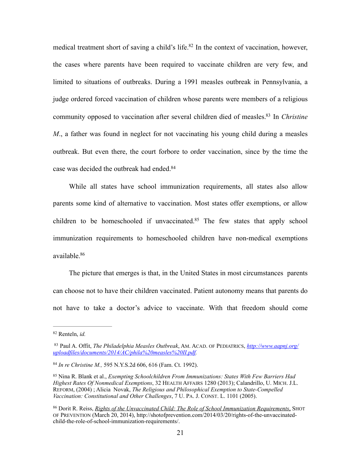<span id="page-20-5"></span>medical treatment short of saving a child's life[.](#page-20-0)<sup>[82](#page-20-0)</sup> In the context of vaccination, however, the cases where parents have been required to vaccinate children are very few, and limited to situations of outbreaks. During a 1991 measles outbreak in Pennsylvania, a judge ordered forced vaccination of children whose parents were members of a religious communityopposed to vaccination after several children died of measles.<sup>83</sup> In *Christine M*., a father was found in neglect for not vaccinating his young child during a measles outbreak. But even there, the court forbore to order vaccination, since by the time the case was decided the outbreak had ended[.84](#page-20-2)

<span id="page-20-8"></span><span id="page-20-7"></span><span id="page-20-6"></span>While all states have school immunization requirements, all states also allow parents some kind of alternative to vaccination. Most states offer exemptions, or allow children to be homeschooled if unvaccinated[.](#page-20-3)<sup>[85](#page-20-3)</sup> The few states that apply school immunization requirements to homeschooled children have non-medical exemptions available[.](#page-20-4) [86](#page-20-4)

<span id="page-20-9"></span>The picture that emerges is that, in the United States in most circumstances parents can choose not to have their children vaccinated. Patient autonomy means that parents do not have to take a doctor's advice to vaccinate. With that freedom should come

<span id="page-20-0"></span>[<sup>82</sup>](#page-20-5) Renteln, *id.* 

<span id="page-20-1"></span>Paul A. Offit, *The Philadelphia Measles Outbreak*, AM. ACAD. OF PEDIATRICS, *http://www.aapnj.org/* [83](#page-20-6) *[uploadfiles/documents/2014/AC/phila%20measles%20II.pdf.](http://www.aapnj.org/uploadfiles/documents/2014/AC/phila%2520measles%2520II.pdf)*

<span id="page-20-2"></span>*In re Christine M.,* 595 N.Y.S.2d 606, 616 (Fam. Ct. 1992). [84](#page-20-7)

<span id="page-20-3"></span>Nina R. Blank et al., *Exempting Schoolchildren From Immunizations: States With Few Barriers Had* [85](#page-20-8) *Highest Rates Of Nonmedical Exemptions*, 32 HEALTH AFFAIRS 1280 (2013); Calandrillo, U. MICH. J.L. REFORM, (2004) ; Alicia Novak, *The Religious and Philosophical Exemption to State-Compelled Vaccination: Constitutional and Other Challenges*, 7 U. PA. J. CONST. L. 1101 (2005).

<span id="page-20-4"></span>Dorit R. Reiss, *Rights of the Unvaccinated Child: The Role of School Immunization Requirements*, SHOT [86](#page-20-9) OF PREVENTION (March 20, 2014), http://shotofprevention.com/2014/03/20/rights-of-the-unvaccinatedchild-the-role-of-school-immunization-requirements/.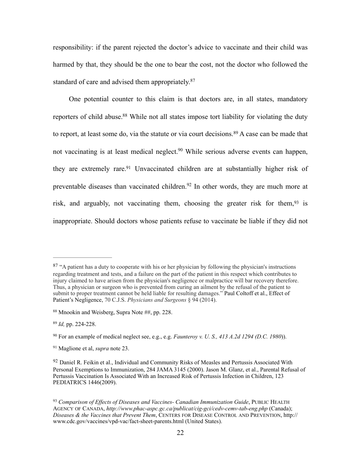responsibility: if the parent rejected the doctor's advice to vaccinate and their child was harmed by that, they should be the one to bear the cost, not the doctor who followed the standard of care and advised them appropriately.<sup>87</sup>

<span id="page-21-11"></span><span id="page-21-10"></span><span id="page-21-9"></span><span id="page-21-8"></span><span id="page-21-7"></span>One potential counter to this claim is that doctors are, in all states, mandatory reporters of child abuse[.](#page-21-1)<sup>[88](#page-21-1)</sup> While not all states impose tort liability for violating the duty toreport, at least some do, via the statute or via court decisions.  $89$  A case can be made that not vaccinating is at least medical neglect[.](#page-21-3)<sup>[90](#page-21-3)</sup> While serious adverse events can happen, they are extremely rare[.](#page-21-4)<sup>[91](#page-21-4)</sup> Unvaccinated children are at substantially higher risk of preventablediseases than vaccinated children.<sup>[92](#page-21-5)</sup> In other words, they are much more at risk,and arguably, not vaccinating them, choosing the greater risk for them,  $93$  is inappropriate. Should doctors whose patients refuse to vaccinate be liable if they did not

<span id="page-21-13"></span><span id="page-21-12"></span><span id="page-21-0"></span><sup>&</sup>lt;sup>[87](#page-21-7)</sup> "A patient has a duty to cooperate with his or her physician by following the physician's instructions regarding treatment and tests, and a failure on the part of the patient in this respect which contributes to injury claimed to have arisen from the physician's negligence or malpractice will bar recovery therefore. Thus, a physician or surgeon who is prevented from curing an ailment by the refusal of the patient to submit to proper treatment cannot be held liable for resulting damages." Paul Coltoff et al., Effect of Patient's Negligence, 70 C.J.S. *Physicians and Surgeons* § 94 (2014).

<span id="page-21-1"></span><sup>88</sup>Mnookin and Weisberg, Supra Note ##, pp. 228.

<span id="page-21-2"></span><sup>&</sup>lt;sup>[89](#page-21-9)</sup> Id, pp. 224-228.

<span id="page-21-3"></span>For an example of medical neglect see, e.g., e.g. *Faunteroy v. U. S., 413 A.2d 1294 (D.C. 1980*)). [90](#page-21-10)

<span id="page-21-4"></span><sup>&</sup>lt;sup>[91](#page-21-11)</sup> Maglione et al, *supra* note 23.

<span id="page-21-5"></span> $92$  Daniel R. Feikin et al., Individual and Community Risks of Measles and Pertussis Associated With Personal Exemptions to Immunization, 284 JAMA 3145 (2000). Jason M. Glanz, et al., Parental Refusal of Pertussis Vaccination Is Associated With an Increased Risk of Pertussis Infection in Children, 123 PEDIATRICS 1446(2009).

<span id="page-21-6"></span><sup>&</sup>lt;sup>[93](#page-21-13)</sup> Comparison of Effects of Diseases and Vaccines- Canadian Immunization Guide, PUBLIC HEALTH AGENCY OF CANADA, *<http://www.phac-aspc.gc.ca/publicat/cig-gci/cedv-cemv-tab-eng.php>* (Canada); *Diseases & the Vaccines that Prevent Them*, CENTERS FOR DISEASE CONTROL AND PREVENTION, http:// [www.cdc.gov/vaccines/vpd-vac/fact-sheet-parents.html \(United States\).](http://www.cdc.gov/vaccines/vpd-vac/fact-sheet-parents.html)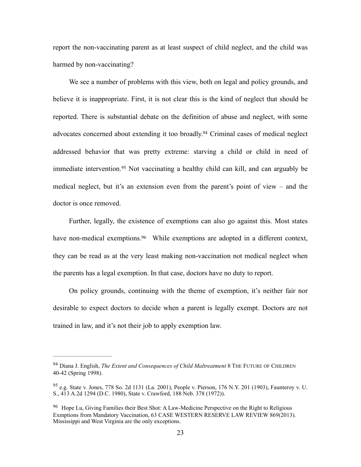report the non-vaccinating parent as at least suspect of child neglect, and the child was harmed by non-vaccinating?

<span id="page-22-3"></span>We see a number of problems with this view, both on legal and policy grounds, and believe it is inappropriate. First, it is not clear this is the kind of neglect that should be reported. There is substantial debate on the definition of abuse and neglect, with some advocates concerned about extending it too broadly[.](#page-22-0)<sup>[94](#page-22-0)</sup> Criminal cases of medical neglect addressed behavior that was pretty extreme: starving a child or child in need of immediateintervention.<sup>[95](#page-22-1)</sup> Not vaccinating a healthy child can kill, and can arguably be medical neglect, but it's an extension even from the parent's point of view – and the doctor is once removed.

<span id="page-22-5"></span><span id="page-22-4"></span>Further, legally, the existence of exemptions can also go against this. Most states have non-medical exemptions[.](#page-22-2)<sup>[96](#page-22-2)</sup> While exemptions are adopted in a different context, they can be read as at the very least making non-vaccination not medical neglect when the parents has a legal exemption. In that case, doctors have no duty to report.

On policy grounds, continuing with the theme of exemption, it's neither fair nor desirable to expect doctors to decide when a parent is legally exempt. Doctors are not trained in law, and it's not their job to apply exemption law.

<span id="page-22-0"></span><sup>&</sup>lt;sup>[94](#page-22-3)</sup> Diana J. English, *The Extent and Consequences of Child Maltreatment* 8 THE FUTURE OF CHILDREN 40-42 (Spring 1998).

<span id="page-22-1"></span> $^{95}$  $^{95}$  $^{95}$  e.g. State v. Jones, 778 So. 2d 1131 (La. 2001), People v. Pierson, 176 N.Y. 201 (1903), Faunteroy v. U. S., 413 A.2d 1294 (D.C. 1980), State v. Crawford, 188 Neb. 378 (1972)).

<span id="page-22-2"></span> $96$  Hope Lu, Giving Families their Best Shot: A Law-Medicine Perspective on the Right to Religious Exmptions from Mandatory Vaccination, 63 CASE WESTERN RESERVE LAW REVIEW 869(2013). Mississippi and West Virginia are the only exceptions.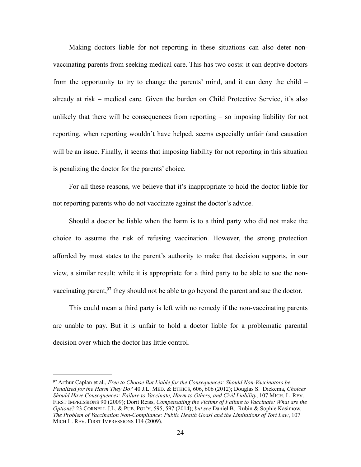Making doctors liable for not reporting in these situations can also deter nonvaccinating parents from seeking medical care. This has two costs: it can deprive doctors from the opportunity to try to change the parents' mind, and it can deny the child – already at risk – medical care. Given the burden on Child Protective Service, it's also unlikely that there will be consequences from reporting – so imposing liability for not reporting, when reporting wouldn't have helped, seems especially unfair (and causation will be an issue. Finally, it seems that imposing liability for not reporting in this situation is penalizing the doctor for the parents' choice.

For all these reasons, we believe that it's inappropriate to hold the doctor liable for not reporting parents who do not vaccinate against the doctor's advice.

Should a doctor be liable when the harm is to a third party who did not make the choice to assume the risk of refusing vaccination. However, the strong protection afforded by most states to the parent's authority to make that decision supports, in our view, a similar result: while it is appropriate for a third party to be able to sue the non-vaccinating parent[,](#page-23-0)  $97$  they should not be able to go beyond the parent and sue the doctor.

<span id="page-23-1"></span>This could mean a third party is left with no remedy if the non-vaccinating parents are unable to pay. But it is unfair to hold a doctor liable for a problematic parental decision over which the doctor has little control.

<span id="page-23-0"></span>Arthur Caplan et al., *Free to Choose But Liable for the Consequences: Should Non-Vaccinators be* [97](#page-23-1) *Penalized for the Harm They Do?* 40 J.L. MED. & ETHICS, 606, 606 (2012); Douglas S. Diekema, *Choices Should Have Consequences: Failure to Vaccinate, Harm to Others, and Civil Liability*, 107 MICH. L. REV. FIRST IMPRESSIONS 90 (2009); Dorit Reiss, *Compensating the Victims of Failure to Vaccinate: What are the Options?* 23 CORNELL J.L. & PUB. POL'Y, 595, 597 (2014); *but see* Daniel B. Rubin & Sophie Kasimow, *The Problem of Vaccination Non-Compliance: Public Health Goasl and the Limitations of Tort Law*, 107 MICH L. REV. FIRST IMPRESSIONS 114 (2009).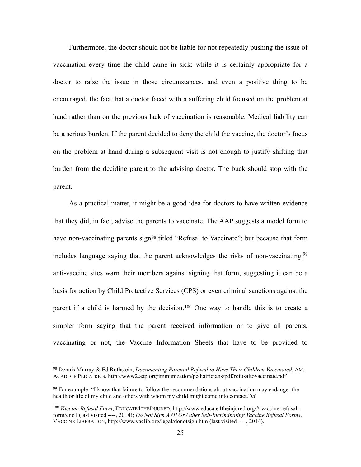Furthermore, the doctor should not be liable for not repeatedly pushing the issue of vaccination every time the child came in sick: while it is certainly appropriate for a doctor to raise the issue in those circumstances, and even a positive thing to be encouraged, the fact that a doctor faced with a suffering child focused on the problem at hand rather than on the previous lack of vaccination is reasonable. Medical liability can be a serious burden. If the parent decided to deny the child the vaccine, the doctor's focus on the problem at hand during a subsequent visit is not enough to justify shifting that burden from the deciding parent to the advising doctor. The buck should stop with the parent.

<span id="page-24-4"></span><span id="page-24-3"></span>As a practical matter, it might be a good idea for doctors to have written evidence that they did, in fact, advise the parents to vaccinate. The AAP suggests a model form to havenon-vaccinating parents sign<sup>[98](#page-24-0)</sup> titled "Refusal to Vaccinate"; but because that form includes language saying that the parent acknowledges the risks of non-vaccinating,<sup>[99](#page-24-1)</sup> anti-vaccine sites warn their members against signing that form, suggesting it can be a basis for action by Child Protective Services (CPS) or even criminal sanctions against the parentif a child is harmed by the decision.<sup>[100](#page-24-2)</sup> One way to handle this is to create a simpler form saying that the parent received information or to give all parents, vaccinating or not, the Vaccine Information Sheets that have to be provided to

<span id="page-24-5"></span><span id="page-24-0"></span>Dennis Murray & Ed Rothstein, *Documenting Parental Refusal to Have Their Children Vaccinated*, AM. [98](#page-24-3) ACAD. OF PEDIATRICS, http://www2.aap.org/immunization/pediatricians/pdf/refusaltovaccinate.pdf.

<span id="page-24-1"></span> $99$  For example: "I know that failure to follow the recommendations about vaccination may endanger the health or life of my child and others with whom my child might come into contact."*id.* 

<span id="page-24-2"></span><sup>&</sup>lt;sup>[100](#page-24-5)</sup> Vaccine Refusal Form, EDUCATE4THEINJURED, http://www.educate4theinjured.org/#!vaccine-refusalform/cno1 (last visited ----, 2014); *Do Not Sign AAP Or Other Self-Incriminating Vaccine Refusal Forms*, VACCINE LIBERATION, http://www.vaclib.org/legal/donotsign.htm (last visited ----, 2014).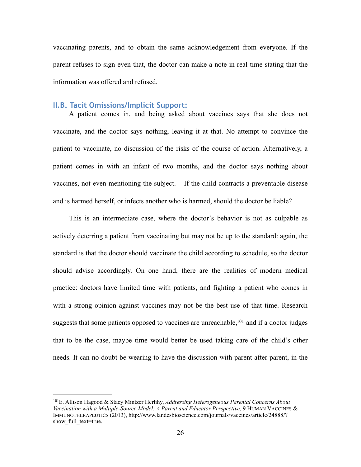vaccinating parents, and to obtain the same acknowledgement from everyone. If the parent refuses to sign even that, the doctor can make a note in real time stating that the information was offered and refused.

#### **II.B. Tacit Omissions/Implicit Support:**

A patient comes in, and being asked about vaccines says that she does not vaccinate, and the doctor says nothing, leaving it at that. No attempt to convince the patient to vaccinate, no discussion of the risks of the course of action. Alternatively, a patient comes in with an infant of two months, and the doctor says nothing about vaccines, not even mentioning the subject. If the child contracts a preventable disease and is harmed herself, or infects another who is harmed, should the doctor be liable?

This is an intermediate case, where the doctor's behavior is not as culpable as actively deterring a patient from vaccinating but may not be up to the standard: again, the standard is that the doctor should vaccinate the child according to schedule, so the doctor should advise accordingly. On one hand, there are the realities of modern medical practice: doctors have limited time with patients, and fighting a patient who comes in with a strong opinion against vaccines may not be the best use of that time. Research suggests that some patients opposed to vaccines are unreachable[,](#page-25-0)  $101$  and if a doctor judges that to be the case, maybe time would better be used taking care of the child's other needs. It can no doubt be wearing to have the discussion with parent after parent, in the

<span id="page-25-1"></span><span id="page-25-0"></span>E. Allison Hagood & Stacy Mintzer Herlihy, *Addressing Heterogeneous Parental Concerns About* [101](#page-25-1) *Vaccination with a Multiple-Source Model: A Parent and Educator Perspective*, 9 HUMAN VACCINES & IMMUNOTHERAPEUTICS (2013), http://www.landesbioscience.com/journals/vaccines/article/24888/? show full text=true.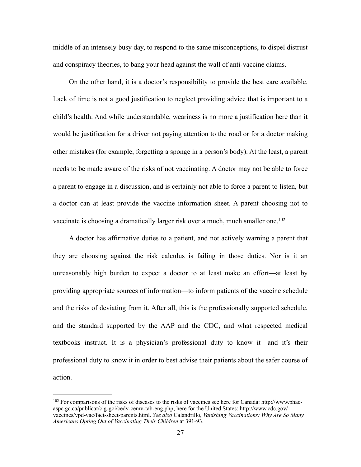middle of an intensely busy day, to respond to the same misconceptions, to dispel distrust and conspiracy theories, to bang your head against the wall of anti-vaccine claims.

On the other hand, it is a doctor's responsibility to provide the best care available. Lack of time is not a good justification to neglect providing advice that is important to a child's health. And while understandable, weariness is no more a justification here than it would be justification for a driver not paying attention to the road or for a doctor making other mistakes (for example, forgetting a sponge in a person's body). At the least, a parent needs to be made aware of the risks of not vaccinating. A doctor may not be able to force a parent to engage in a discussion, and is certainly not able to force a parent to listen, but a doctor can at least provide the vaccine information sheet. A parent choosing not to vaccinate is choosing a dramatically larger risk over a much, much smaller one[.](#page-26-0)<sup>[102](#page-26-0)</sup>

<span id="page-26-1"></span>A doctor has affirmative duties to a patient, and not actively warning a parent that they are choosing against the risk calculus is failing in those duties. Nor is it an unreasonably high burden to expect a doctor to at least make an effort—at least by providing appropriate sources of information—to inform patients of the vaccine schedule and the risks of deviating from it. After all, this is the professionally supported schedule, and the standard supported by the AAP and the CDC, and what respected medical textbooks instruct. It is a physician's professional duty to know it—and it's their professional duty to know it in order to best advise their patients about the safer course of action.

<span id="page-26-0"></span><sup>&</sup>lt;sup>102</sup> [For comparisons of the risks of diseases to the risks of vaccines see here for Canada: http://www.phac](http://www.phac-aspc.gc.ca/publicat/cig-gci/cedv-cemv-tab-eng.php) [aspc.gc.ca/publicat/cig-gci/cedv-cemv-tab-eng.php; here for the United States: http://www.cdc.gov/](http://www.cdc.gov/vaccines/vpd-vac/fact-sheet-parents.html) vaccines/vpd-vac/fact-sheet-parents.html. *See also* Calandrillo, *Vanishing Vaccinations: Why Are So Many Americans Opting Out of Vaccinating Their Children* at 391-93.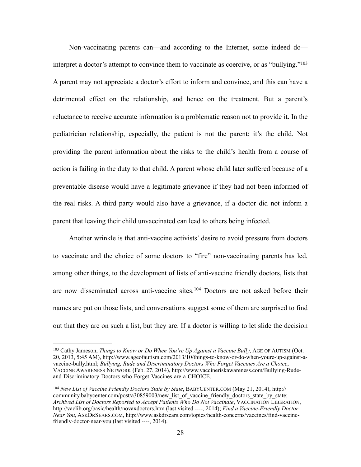<span id="page-27-2"></span>Non-vaccinating parents can—and according to the Internet, some indeed do interpret a doctor's attempt to convince them to vaccinate as coercive, or as "bullying."[103](#page-27-0) A parent may not appreciate a doctor's effort to inform and convince, and this can have a detrimental effect on the relationship, and hence on the treatment. But a parent's reluctance to receive accurate information is a problematic reason not to provide it. In the pediatrician relationship, especially, the patient is not the parent: it's the child. Not providing the parent information about the risks to the child's health from a course of action is failing in the duty to that child. A parent whose child later suffered because of a preventable disease would have a legitimate grievance if they had not been informed of the real risks. A third party would also have a grievance, if a doctor did not inform a parent that leaving their child unvaccinated can lead to others being infected.

Another wrinkle is that anti-vaccine activists' desire to avoid pressure from doctors to vaccinate and the choice of some doctors to "fire" non-vaccinating parents has led, among other things, to the development of lists of anti-vaccine friendly doctors, lists that arenow disseminated across anti-vaccine sites.<sup>[104](#page-27-1)</sup> Doctors are not asked before their names are put on those lists, and conversations suggest some of them are surprised to find out that they are on such a list, but they are. If a doctor is willing to let slide the decision

<span id="page-27-3"></span><span id="page-27-0"></span><sup>&</sup>lt;sup>[103](#page-27-2)</sup> Cathy Jameson, *Things to Know or Do When You're Up Against a Vaccine Bully*, AGE OF AUTISM (Oct. 20, 2013, 5:45 AM), http://www.ageofautism.com/2013/10/things-to-know-or-do-when-youre-up-against-avaccine-bully.html; *Bullying, Rude and Discriminatory Doctors Who Forget Vaccines Are a Choice*, VACCINE AWARENESS NETWORK (Feb. 27, 2014), http://www.vaccineriskawareness.com/Bullying-Rudeand-Discriminatory-Doctors-who-Forget-Vaccines-are-a-CHOICE.

<span id="page-27-1"></span><sup>&</sup>lt;sup>[104](#page-27-3)</sup> New List of Vaccine Friendly Doctors State by State, BABYCENTER.COM (May 21, 2014), http:// community.babycenter.com/post/a30859003/new\_list\_of\_vaccine\_friendly\_doctors\_state\_by\_state; *Archived List of Doctors Reported to Accept Patients Who Do Not Vaccinate*, VACCINATION LIBERATION, http://vaclib.org/basic/health/novaxdoctors.htm (last visited ----, 2014); *Find a Vaccine-Friendly Doctor Near You*, ASKDRSEARS.COM, http://www.askdrsears.com/topics/health-concerns/vaccines/find-vaccinefriendly-doctor-near-you (last visited ----, 2014).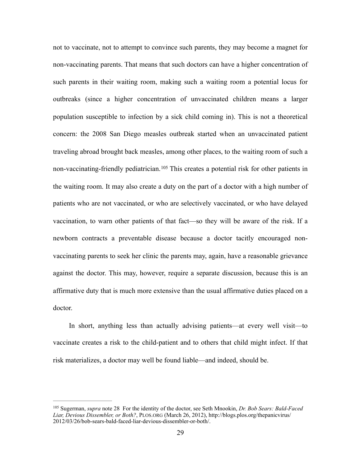<span id="page-28-1"></span>not to vaccinate, not to attempt to convince such parents, they may become a magnet for non-vaccinating parents. That means that such doctors can have a higher concentration of such parents in their waiting room, making such a waiting room a potential locus for outbreaks (since a higher concentration of unvaccinated children means a larger population susceptible to infection by a sick child coming in). This is not a theoretical concern: the 2008 San Diego measles outbreak started when an unvaccinated patient traveling abroad brought back measles, among other places, to the waiting room of such a non-vaccinating-friendlypediatrician.<sup>[105](#page-28-0)</sup> This creates a potential risk for other patients in the waiting room. It may also create a duty on the part of a doctor with a high number of patients who are not vaccinated, or who are selectively vaccinated, or who have delayed vaccination, to warn other patients of that fact—so they will be aware of the risk. If a newborn contracts a preventable disease because a doctor tacitly encouraged nonvaccinating parents to seek her clinic the parents may, again, have a reasonable grievance against the doctor. This may, however, require a separate discussion, because this is an affirmative duty that is much more extensive than the usual affirmative duties placed on a doctor.

In short, anything less than actually advising patients—at every well visit—to vaccinate creates a risk to the child-patient and to others that child might infect. If that risk materializes, a doctor may well be found liable—and indeed, should be.

<span id="page-28-0"></span><sup>&</sup>lt;sup>[105](#page-28-1)</sup> Sugerman, *supra* note 28 For the identity of the doctor, see Seth Mnookin, *Dr. Bob Sears: Bald-Faced Liar, Devious Dissembler, or Both?*, PLOS.ORG (March 26, 2012), http://blogs.plos.org/thepanicvirus/ 2012/03/26/bob-sears-bald-faced-liar-devious-dissembler-or-both/.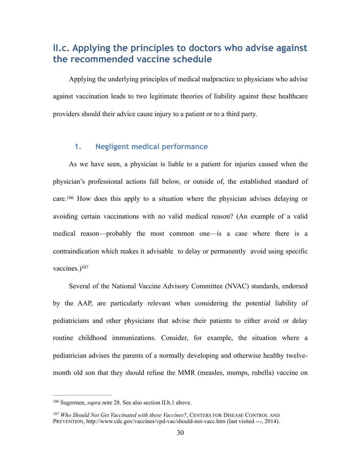# **II.c. Applying the principles to doctors who advise against the recommended vaccine schedule**

Applying the underlying principles of medical malpractice to physicians who advise against vaccination leads to two legitimate theories of liability against these healthcare providers should their advice cause injury to a patient or to a third party.

## **1. Negligent medical performance**

<span id="page-29-2"></span>As we have seen, a physician is liable to a patient for injuries caused when the physician's professional actions fall below, or outside of, the established standard of care.<sup>106</sup>How does this apply to a situation where the physician advises delaying or avoiding certain vaccinations with no valid medical reason? (An example of a valid medical reason—probably the most common one—is a case where there is a contraindication which makes it advisable to delay or permanently avoid using specific vaccines.)<sup>107</sup>

<span id="page-29-3"></span>Several of the National Vaccine Advisory Committee (NVAC) standards, endorsed by the AAP, are particularly relevant when considering the potential liability of pediatricians and other physicians that advise their patients to either avoid or delay routine childhood immunizations. Consider, for example, the situation where a pediatrician advises the parents of a normally developing and otherwise healthy twelvemonth old son that they should refuse the MMR (measles, mumps, rubella) vaccine on

<span id="page-29-0"></span><sup>&</sup>lt;sup>[106](#page-29-2)</sup> Sugermen, *supra* note 28. See also section II.b.1 above.

<span id="page-29-1"></span><sup>&</sup>lt;sup>[107](#page-29-3)</sup> Who Should Not Get Vaccinated with these Vaccines?, CENTERS FOR DISEASE CONTROL AND PREVENTION, http://www.cdc.gov/vaccines/vpd-vac/should-not-vacc.htm (last visited ---, 2014).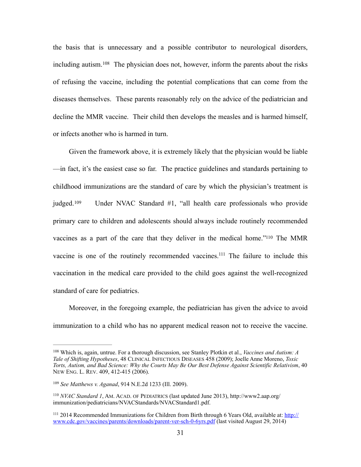<span id="page-30-4"></span>the basis that is unnecessary and a possible contributor to neurological disorders, includingautism.  $108$  The physician does not, however, inform the parents about the risks of refusing the vaccine, including the potential complications that can come from the diseases themselves. These parents reasonably rely on the advice of the pediatrician and decline the MMR vaccine. Their child then develops the measles and is harmed himself, or infects another who is harmed in turn.

<span id="page-30-5"></span>Given the framework above, it is extremely likely that the physician would be liable —in fact, it's the easiest case so far. The practice guidelines and standards pertaining to childhood immunizations are the standard of care by which the physician's treatment is judged. $109$  Under NVAC Standard #1, "all health care professionals who provide primary care to children and adolescents should always include routinely recommended vaccines as a part of the care that they deliver in the medical home.["](#page-30-2)<sup>[110](#page-30-2)</sup> The MMR vaccine is one of the routinely recommended vaccines[.](#page-30-3)<sup>[111](#page-30-3)</sup> The failure to include this vaccination in the medical care provided to the child goes against the well-recognized standard of care for pediatrics.

<span id="page-30-7"></span><span id="page-30-6"></span>Moreover, in the foregoing example, the pediatrician has given the advice to avoid immunization to a child who has no apparent medical reason not to receive the vaccine.

<span id="page-30-0"></span>Which is, again, untrue. For a thorough discussion, see Stanley Plotkin et al., *Vaccines and Autism: A* [108](#page-30-4) *Tale of Shifting Hypotheses*, 48 CLINICAL INFECTIOUS DISEASES 458 (2009); Joelle Anne Moreno, *Toxic Torts, Autism, and Bad Science: Why the Courts May Be Our Best Defense Against Scientific Relativism*, 40 NEW ENG. L. REV. 409, 412-415 (2006).

<span id="page-30-1"></span><sup>&</sup>lt;sup>[109](#page-30-5)</sup> See Matthews v. Aganad, 914 N.E.2d 1233 (Ill. 2009).

<span id="page-30-2"></span>*NVAC Standard 1*, AM. ACAD. OF PEDIATRICS (last updated June 2013), http://www2.aap.org/ [110](#page-30-6) immunization/pediatricians/NVACStandards/NVACStandard1.pdf.

<span id="page-30-3"></span><sup>&</sup>lt;sup>111</sup> [2014 Recommended Immunizations for Children from Birth through 6 Years Old, available at: http://](http://www.cdc.gov/vaccines/parents/downloads/parent-ver-sch-0-6yrs.pdf) www.cdc.gov/vaccines/parents/downloads/parent-ver-sch-0-6yrs.pdf (last visited August 29, 2014)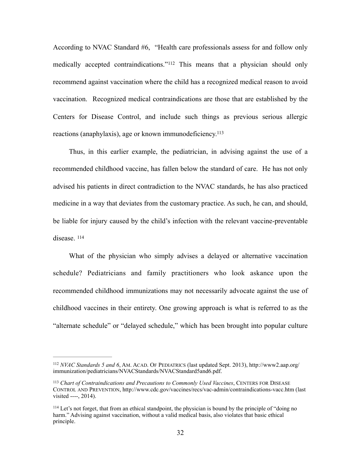<span id="page-31-3"></span>According to NVAC Standard #6, "Health care professionals assess for and follow only medicallyaccepted contraindications."<sup>[112](#page-31-0)</sup> This means that a physician should only recommend against vaccination where the child has a recognized medical reason to avoid vaccination. Recognized medical contraindications are those that are established by the Centers for Disease Control, and include such things as previous serious allergic reactions (anaphylaxis), age or known immunodeficiency[. 113](#page-31-1)

<span id="page-31-4"></span>Thus, in this earlier example, the pediatrician, in advising against the use of a recommended childhood vaccine, has fallen below the standard of care. He has not only advised his patients in direct contradiction to the NVAC standards, he has also practiced medicine in a way that deviates from the customary practice. As such, he can, and should, be liable for injury caused by the child's infection with the relevant vaccine-preventable disease <sup>[114](#page-31-2)</sup>

<span id="page-31-5"></span>What of the physician who simply advises a delayed or alternative vaccination schedule? Pediatricians and family practitioners who look askance upon the recommended childhood immunizations may not necessarily advocate against the use of childhood vaccines in their entirety. One growing approach is what is referred to as the "alternate schedule" or "delayed schedule," which has been brought into popular culture

<span id="page-31-0"></span>*NVAC Standards 5 and 6*, AM. ACAD. OF PEDIATRICS (last updated Sept. 2013), http://www2.aap.org/ [112](#page-31-3) immunization/pediatricians/NVACStandards/NVACStandard5and6.pdf.

<span id="page-31-1"></span><sup>&</sup>lt;sup>[113](#page-31-4)</sup> Chart of Contraindications and Precautions to Commonly Used Vaccines, CENTERS FOR DISEASE CONTROL AND PREVENTION, http://www.cdc.gov/vaccines/recs/vac-admin/contraindications-vacc.htm (last visited ----, 2014).

<span id="page-31-2"></span><sup>&</sup>lt;sup>114</sup>Let's not forget, that from an ethical standpoint, the physician is bound by the principle of "doing no harm." Advising against vaccination, without a valid medical basis, also violates that basic ethical principle.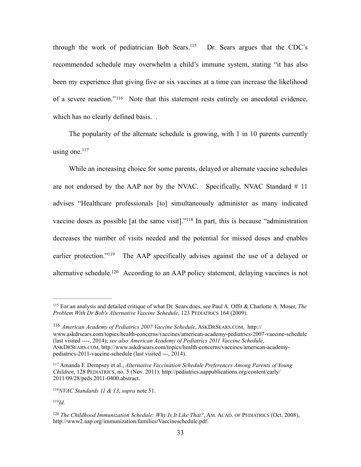<span id="page-32-6"></span>through the work of pediatrician Bob Sears[.](#page-32-0)<sup>[115](#page-32-0)</sup> Dr. Sears argues that the CDC's recommended schedule may overwhelm a child's immune system, stating "it has also been my experience that giving five or six vaccines at a time can increase the likelihood of a severe reaction."<sup>[116](#page-32-1)</sup> Note that this statement rests entirely on anecdotal evidence, which has no clearly defined basis...

<span id="page-32-7"></span>The popularity of the alternate schedule is growing, with 1 in 10 parents currently using one[.](#page-32-2) $117$ 

<span id="page-32-9"></span><span id="page-32-8"></span>While an increasing choice for some parents, delayed or alternate vaccine schedules are not endorsed by the AAP nor by the NVAC. Specifically, NVAC Standard  $# 11$ advises "Healthcare professionals [to] simultaneously administer as many indicated vaccine doses as possible [at the same visit]. $118$  In part, this is because "administration" decreases the number of visits needed and the potential for missed doses and enables earlier protection."<sup>[119](#page-32-4)</sup> The AAP specifically advises against the use of a delayed or alternative schedule[.](#page-32-5)<sup>[120](#page-32-5)</sup> According to an AAP policy statement, delaying vaccines is not

<span id="page-32-1"></span>*American Academy of Pediatrics 2007 Vaccine Schedule*, ASKDRSEARS.COM, http:// [116](#page-32-7) www.askdrsears.com/topics/health-concerns/vaccines/american-academy-pediatrics-2007-vaccine-schedule (last visited ----, 2014); *see also American Academy of Pediatrics 2011 Vaccine Schedule*, ASKDRSEARS.COM, http://www.askdrsears.com/topics/health-concerns/vaccines/american-academypediatrics-2011-vaccine-schedule (last visited ---, 2014).

<span id="page-32-11"></span><span id="page-32-10"></span><span id="page-32-0"></span>For an analysis and detailed critique of what Dr. Sears does, see Paul A. Offit & Charlotte A. Moser, *The* [115](#page-32-6) *Problem With Dr Bob's Alternative Vaccine Schedule*, 123 PEDIATRICS 164 (2009).

<span id="page-32-2"></span><sup>&</sup>lt;sup>[117](#page-32-8)</sup> Amanda F. Dempsey et al., *Alternative Vaccination Schedule Preferences Among Parents of Young Children*, 128 PEDIATRICS, no. 5 (Nov. 2011). http://pediatrics.aappublications.org/content/early/ 2011/09/28/peds.2011-0400.abstract.

<span id="page-32-3"></span><sup>&</sup>lt;sup>[118](#page-32-9)</sup>NVAC Standards 11 & 13, *supra* note 51.

<span id="page-32-4"></span> $^{119}Id.$  $^{119}Id.$  $^{119}Id.$ 

<span id="page-32-5"></span><sup>&</sup>lt;sup>[120](#page-32-11)</sup> The Childhood Immunization Schedule: Why Is It Like That?, AM. ACAD. OF PEDIATRICS (Oct. 2008), http://www2.aap.org/immunization/families/Vaccineschedule.pdf.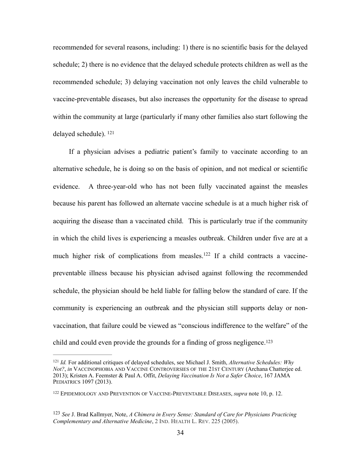recommended for several reasons, including: 1) there is no scientific basis for the delayed schedule; 2) there is no evidence that the delayed schedule protects children as well as the recommended schedule; 3) delaying vaccination not only leaves the child vulnerable to vaccine-preventable diseases, but also increases the opportunity for the disease to spread within the community at large (particularly if many other families also start following the delayed schedule). [121](#page-33-0)

<span id="page-33-3"></span>If a physician advises a pediatric patient's family to vaccinate according to an alternative schedule, he is doing so on the basis of opinion, and not medical or scientific evidence. A three-year-old who has not been fully vaccinated against the measles because his parent has followed an alternate vaccine schedule is at a much higher risk of acquiring the disease than a vaccinated child. This is particularly true if the community in which the child lives is experiencing a measles outbreak. Children under five are at a much higher risk of complications from measles[.](#page-33-1)<sup>122</sup> If a child contracts a vaccinepreventable illness because his physician advised against following the recommended schedule, the physician should be held liable for falling below the standard of care. If the community is experiencing an outbreak and the physician still supports delay or nonvaccination, that failure could be viewed as "conscious indifference to the welfare" of the child and could even provide the grounds for a finding of gross negligence. [123](#page-33-2)

<span id="page-33-5"></span><span id="page-33-4"></span><span id="page-33-0"></span>*Id.* For additional critiques of delayed schedules, see Michael J. Smith, *Alternative Schedules: Why* [121](#page-33-3) *Not?*, *in* VACCINOPHOBIA AND VACCINE CONTROVERSIES OF THE 21ST CENTURY (Archana Chatterjee ed. 2013); Kristen A. Feemster & Paul A. Offit, *Delaying Vaccination Is Not a Safer Choice*, 167 JAMA PEDIATRICS 1097 (2013).

<span id="page-33-1"></span><sup>&</sup>lt;sup>[122](#page-33-4)</sup> EPIDEMIOLOGY AND PREVENTION OF VACCINE-PREVENTABLE DISEASES, *supra* note 10, p. 12.

<span id="page-33-2"></span>*See* J. Brad Kallmyer, Note, *A Chimera in Every Sense: Standard of Care for Physicians Practicing* [123](#page-33-5) *Complementary and Alternative Medicine*, 2 IND. HEALTH L. REV. 225 (2005).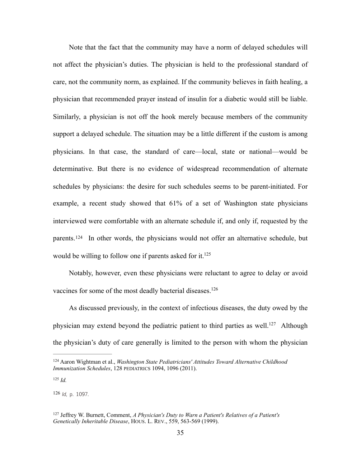Note that the fact that the community may have a norm of delayed schedules will not affect the physician's duties. The physician is held to the professional standard of care, not the community norm, as explained. If the community believes in faith healing, a physician that recommended prayer instead of insulin for a diabetic would still be liable. Similarly, a physician is not off the hook merely because members of the community support a delayed schedule. The situation may be a little different if the custom is among physicians. In that case, the standard of care—local, state or national—would be determinative. But there is no evidence of widespread recommendation of alternate schedules by physicians: the desire for such schedules seems to be parent-initiated. For example, a recent study showed that 61% of a set of Washington state physicians interviewed were comfortable with an alternate schedule if, and only if, requested by the parents.<sup>124</sup>In other words, the physicians would not offer an alternative schedule, but would be willing to follow one if parents asked for it.<sup>125</sup>

<span id="page-34-5"></span><span id="page-34-4"></span>Notably, however, even these physicians were reluctant to agree to delay or avoid vaccines for some of the most deadly bacterial diseases[.](#page-34-2) [126](#page-34-2)

<span id="page-34-7"></span><span id="page-34-6"></span>As discussed previously, in the context of infectious diseases, the duty owed by the physician may extend beyond the pediatric patient to third parties as well[.](#page-34-3)<sup>[127](#page-34-3)</sup> Although the physician's duty of care generally is limited to the person with whom the physician

<span id="page-34-1"></span> $125$  *Id.* 

<span id="page-34-2"></span>[126](#page-34-6) *Id*, p. 1097.

<span id="page-34-0"></span><sup>&</sup>lt;sup>[124](#page-34-4)</sup> Aaron Wightman et al., *Washington State Pediatricians' Attitudes Toward Alternative Childhood Immunization Schedules*, 128 PEDIATRICS 1094, 1096 (2011).

<span id="page-34-3"></span><sup>&</sup>lt;sup>[127](#page-34-7)</sup> Jeffrey W. Burnett, Comment, *A Physician's Duty to Warn a Patient's Relatives of a Patient's Genetically Inheritable Disease*, HOUS. L. REV., 559, 563-569 (1999).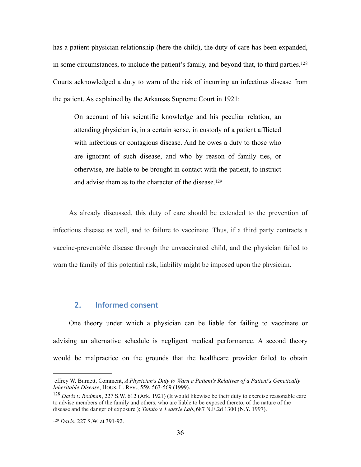has a patient-physician relationship (here the child), the duty of care has been expanded, in some circumstances, to include the patient's family, and beyond that, to third parties.[128](#page-35-0) Courts acknowledged a duty to warn of the risk of incurring an infectious disease from the patient. As explained by the Arkansas Supreme Court in 1921:

<span id="page-35-3"></span><span id="page-35-2"></span>On account of his scientific knowledge and his peculiar relation, an attending physician is, in a certain sense, in custody of a patient afflicted with infectious or contagious disease. And he owes a duty to those who are ignorant of such disease, and who by reason of family ties, or otherwise, are liable to be brought in contact with the patient, to instruct and advise them as to the character of the disease[.129](#page-35-1)

As already discussed, this duty of care should be extended to the prevention of infectious disease as well, and to failure to vaccinate. Thus, if a third party contracts a vaccine-preventable disease through the unvaccinated child, and the physician failed to warn the family of this potential risk, liability might be imposed upon the physician.

## **2. Informed consent**

One theory under which a physician can be liable for failing to vaccinate or advising an alternative schedule is negligent medical performance. A second theory would be malpractice on the grounds that the healthcare provider failed to obtain

effrey W. Burnett, Comment, *A Physician's Duty to Warn a Patient's Relatives of a Patient's Genetically Inheritable Disease*, HOUS. L. REV., 559, 563-569 (1999).

<span id="page-35-0"></span><sup>&</sup>lt;sup>[128](#page-35-2)</sup> Davis v. Rodman, 227 S.W. 612 (Ark. 1921) (It would likewise be their duty to exercise reasonable care to advise members of the family and others, who are liable to be exposed thereto, of the nature of the disease and the danger of exposure.); *Tenuto v. Lederle Lab.,*687 N.E.2d 1300 (N.Y. 1997).

<span id="page-35-1"></span><sup>&</sup>lt;sup>[129](#page-35-3)</sup> Davis, 227 S.W. at 391-92.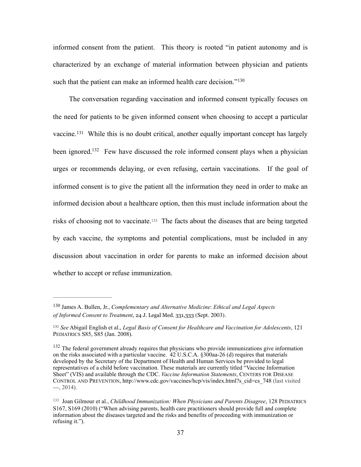informed consent from the patient. This theory is rooted "in patient autonomy and is characterized by an exchange of material information between physician and patients such that the patient can make an informed health care decision."<sup>130</sup>

<span id="page-36-6"></span><span id="page-36-5"></span><span id="page-36-4"></span>The conversation regarding vaccination and informed consent typically focuses on the need for patients to be given informed consent when choosing to accept a particular vaccine.<sup> $131$ </sup> While this is no doubt critical, another equally important concept has largely been ignored[.](#page-36-2)<sup>[132](#page-36-2)</sup> Few have discussed the role informed consent plays when a physician urges or recommends delaying, or even refusing, certain vaccinations. If the goal of informed consent is to give the patient all the information they need in order to make an informed decision about a healthcare option, then this must include information about the risksof choosing not to vaccinate.<sup>133</sup> The facts about the diseases that are being targeted by each vaccine, the symptoms and potential complications, must be included in any discussion about vaccination in order for parents to make an informed decision about whether to accept or refuse immunization.

<span id="page-36-7"></span><span id="page-36-0"></span>James A. Bullen, Jr., *Complementary and Alternative Medicine*: *Ethical and Legal Aspects* [130](#page-36-4) *of Informed Consent to Treatment*, 24 J. Legal Med. 331,333 (Sept. 2003).

<span id="page-36-1"></span><sup>&</sup>lt;sup>[131](#page-36-5)</sup> See Abigail English et al., *Legal Basis of Consent for Healthcare and Vaccination for Adolescents*, 121 PEDIATRICS S85, S85 (Jan. 2008).

<span id="page-36-2"></span><sup>&</sup>lt;sup>[132](#page-36-6)</sup> The federal government already requires that physicians who provide immunizations give information on the risks associated with a particular vaccine. 42 U.S.C.A. §300aa-26 (d) requires that materials developed by the Secretary of the Department of Health and Human Services be provided to legal representatives of a child before vaccination. These materials are currently titled "Vaccine Information Sheet" (VIS) and available through the CDC. *Vaccine Information Statements*, CENTERS FOR DISEASE CONTROL AND PREVENTION, http://www.cdc.gov/vaccines/hcp/vis/index.html?s\_cid=cs\_748 (last visited  $-2014$ ).

<span id="page-36-3"></span><sup>&</sup>lt;sup>[133](#page-36-7)</sup> Joan Gilmour et al., *Childhood Immunization: When Physicians and Parents Disagree*, 128 PEDIATRICS S167, S169 (2010) ("When advising parents, health care practitioners should provide full and complete information about the diseases targeted and the risks and benefits of proceeding with immunization or refusing it.").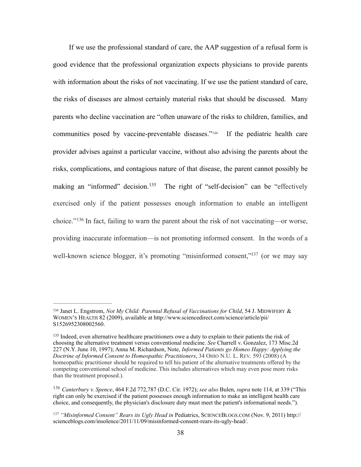<span id="page-37-4"></span>If we use the professional standard of care, the AAP suggestion of a refusal form is good evidence that the professional organization expects physicians to provide parents with information about the risks of not vaccinating. If we use the patient standard of care, the risks of diseases are almost certainly material risks that should be discussed. Many parents who decline vaccination are "often unaware of the risks to children, families, and communities posed by vaccine-preventable diseases.["](#page-37-0)<sup>134</sup> If the pediatric health care provider advises against a particular vaccine, without also advising the parents about the risks, complications, and contagious nature of that disease, the parent cannot possibly be makingan "informed" decision.<sup>[135](#page-37-1)</sup> The right of "self-decision" can be "effectively exercised only if the patient possesses enough information to enable an intelligent choice."<sup>136</sup>In fact, failing to warn the parent about the risk of not vaccinating—or worse, providing inaccurate information—is not promoting informed consent. In the words of a well-known science blogger, it's promoting ["](#page-37-3)misinformed consent," $137$  (or we may say

<span id="page-37-7"></span><span id="page-37-6"></span><span id="page-37-5"></span><span id="page-37-0"></span><sup>&</sup>lt;sup>[134](#page-37-4)</sup> Janet L. Engstrom, *Not My Child: Parental Refusal of Vaccinations for Child*, 54 J. MIDWIFERY & WOMEN'S HEALTH 82 (2009), available at http://www.sciencedirect.com/science/article/pii/ S1526952308002560.

<span id="page-37-1"></span><sup>&</sup>lt;sup>[135](#page-37-5)</sup> Indeed, even alternative healthcare practitioners owe a duty to explain to their patients the risk of choosing the alternative treatment versus conventional medicine. *See* Charrell v. Gonzalez, 173 Misc.2d 227 (N.Y. June 10, 1997); Anna M. Richardson, Note, *Informed Patients go Homeo Happy: Applying the Doctrine of Informed Consent to Homeopathic Practitioners*, 34 OHIO N.U. L. REV. 593 (2008) (A homeopathic practitioner should be required to tell his patient of the alternative treatments offered by the competing conventional school of medicine. This includes alternatives which may even pose more risks than the treatment proposed.).

<span id="page-37-2"></span>*Canterbury v. Spence*, 464 F.2d 772,787 (D.C. Cir. 1972); *see also* Bulen, *supra* note 114, at 339 ("This [136](#page-37-6) right can only be exercised if the patient possesses enough information to make an intelligent health care choice, and consequently, the physician's disclosure duty must meet the patient's informational needs.").

<span id="page-37-3"></span><sup>&</sup>lt;sup>[137](#page-37-7)</sup> "Misinformed Consent" Rears its Ugly Head in Pediatrics, SCIENCEBLOGS.COM (Nov. 9, 2011) http:// scienceblogs.com/insolence/2011/11/09/misinformed-consent-rears-its-ugly-head/.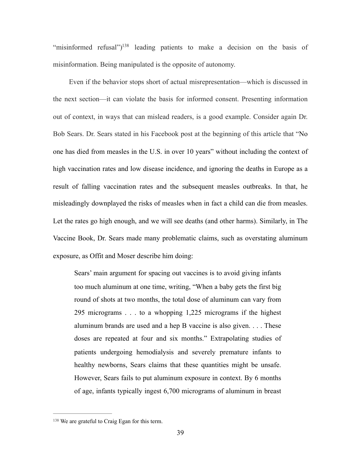<span id="page-38-1"></span>"misinformed refusal"[\)](#page-38-0)<sup>[138](#page-38-0)</sup> leading patients to make a decision on the basis of misinformation. Being manipulated is the opposite of autonomy.

Even if the behavior stops short of actual misrepresentation—which is discussed in the next section—it can violate the basis for informed consent. Presenting information out of context, in ways that can mislead readers, is a good example. Consider again Dr. Bob Sears. Dr. Sears stated in his Facebook post at the beginning of this article that "No one has died from measles in the U.S. in over 10 years" without including the context of high vaccination rates and low disease incidence, and ignoring the deaths in Europe as a result of falling vaccination rates and the subsequent measles outbreaks. In that, he misleadingly downplayed the risks of measles when in fact a child can die from measles. Let the rates go high enough, and we will see deaths (and other harms). Similarly, in The Vaccine Book, Dr. Sears made many problematic claims, such as overstating aluminum exposure, as Offit and Moser describe him doing:

Sears' main argument for spacing out vaccines is to avoid giving infants too much aluminum at one time, writing, "When a baby gets the first big round of shots at two months, the total dose of aluminum can vary from 295 micrograms . . . to a whopping 1,225 micrograms if the highest aluminum brands are used and a hep B vaccine is also given. . . . These doses are repeated at four and six months." Extrapolating studies of patients undergoing hemodialysis and severely premature infants to healthy newborns, Sears claims that these quantities might be unsafe. However, Sears fails to put aluminum exposure in context. By 6 months of age, infants typically ingest 6,700 micrograms of aluminum in breast

<span id="page-38-0"></span><sup>&</sup>lt;sup>[138](#page-38-1)</sup> We are grateful to Craig Egan for this term.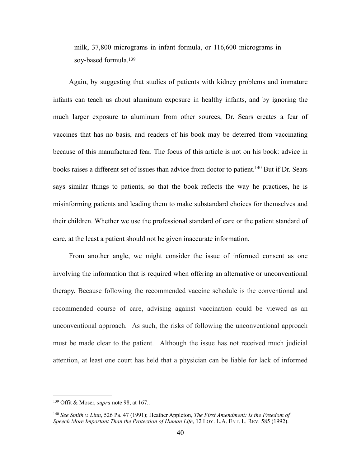<span id="page-39-2"></span>milk, 37,800 micrograms in infant formula, or 116,600 micrograms in soy-based formula.<sup>[139](#page-39-0)</sup>

Again, by suggesting that studies of patients with kidney problems and immature infants can teach us about aluminum exposure in healthy infants, and by ignoring the much larger exposure to aluminum from other sources, Dr. Sears creates a fear of vaccines that has no basis, and readers of his book may be deterred from vaccinating because of this manufactured fear. The focus of this article is not on his book: advice in books raises a different set of issues than advice from doctor to patient[.](#page-39-1)<sup>[140](#page-39-1)</sup> But if Dr. Sears says similar things to patients, so that the book reflects the way he practices, he is misinforming patients and leading them to make substandard choices for themselves and their children. Whether we use the professional standard of care or the patient standard of care, at the least a patient should not be given inaccurate information.

<span id="page-39-3"></span>From another angle, we might consider the issue of informed consent as one involving the information that is required when offering an alternative or unconventional therapy. Because following the recommended vaccine schedule is the conventional and recommended course of care, advising against vaccination could be viewed as an unconventional approach. As such, the risks of following the unconventional approach must be made clear to the patient. Although the issue has not received much judicial attention, at least one court has held that a physician can be liable for lack of informed

<span id="page-39-0"></span><sup>&</sup>lt;sup>[139](#page-39-2)</sup> Offit & Moser, *supra* note 98, at 167..

<span id="page-39-1"></span><sup>&</sup>lt;sup>[140](#page-39-3)</sup> See Smith v. Linn, 526 Pa. 47 (1991); Heather Appleton, *The First Amendment: Is the Freedom of Speech More Important Than the Protection of Human Life*, 12 LOY. L.A. ENT. L. REV. 585 (1992).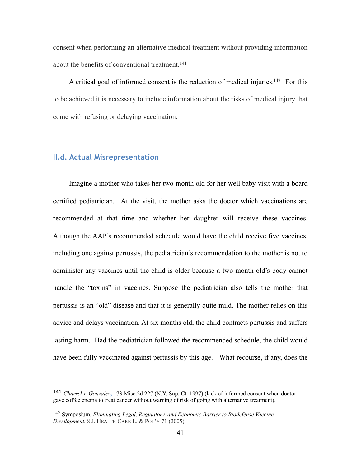consent when performing an alternative medical treatment without providing information about the benefits of conventional treatment.<sup>[141](#page-40-0)</sup>

<span id="page-40-3"></span><span id="page-40-2"></span>A critical goal of informed consent is the reduction of medical injuries[.](#page-40-1)<sup>[142](#page-40-1)</sup> For this to be achieved it is necessary to include information about the risks of medical injury that come with refusing or delaying vaccination.

## **II.d. Actual Misrepresentation**

Imagine a mother who takes her two-month old for her well baby visit with a board certified pediatrician. At the visit, the mother asks the doctor which vaccinations are recommended at that time and whether her daughter will receive these vaccines. Although the AAP's recommended schedule would have the child receive five vaccines, including one against pertussis, the pediatrician's recommendation to the mother is not to administer any vaccines until the child is older because a two month old's body cannot handle the "toxins" in vaccines. Suppose the pediatrician also tells the mother that pertussis is an "old" disease and that it is generally quite mild. The mother relies on this advice and delays vaccination. At six months old, the child contracts pertussis and suffers lasting harm. Had the pediatrician followed the recommended schedule, the child would have been fully vaccinated against pertussis by this age. What recourse, if any, does the

<span id="page-40-0"></span>*Charrel v. Gonzalez***,** 173 Misc.2d 227 (N.Y. Sup. Ct. 1997) (lack of informed consent when doctor **[141](#page-40-2)** gave coffee enema to treat cancer without warning of risk of going with alternative treatment).

<span id="page-40-1"></span><sup>&</sup>lt;sup>[142](#page-40-3)</sup> Symposium, *Eliminating Legal, Regulatory, and Economic Barrier to Biodefense Vaccine Development*, 8 J. HEALTH CARE L. & POL'Y 71 (2005).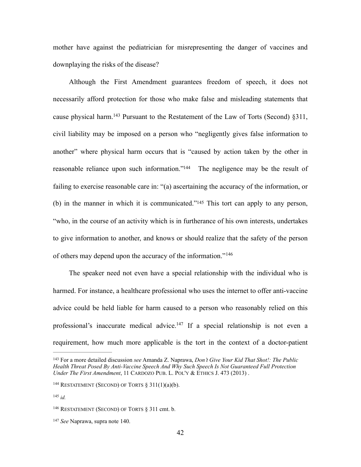mother have against the pediatrician for misrepresenting the danger of vaccines and downplaying the risks of the disease?

<span id="page-41-6"></span><span id="page-41-5"></span>Although the First Amendment guarantees freedom of speech, it does not necessarily afford protection for those who make false and misleading statements that cause physical harm[.](#page-41-0) <sup>[143](#page-41-0)</sup> Pursuant to the Restatement of the Law of Torts (Second)  $§311$ , civil liability may be imposed on a person who "negligently gives false information to another" where physical harm occurs that is "caused by action taken by the other in reasonablereliance upon such information."<sup>[144](#page-41-1)</sup> The negligence may be the result of failing to exercise reasonable care in: "(a) ascertaining the accuracy of the information, or (b) in the manner in which it is communicated.["](#page-41-2) $145$  This tort can apply to any person, "who, in the course of an activity which is in furtherance of his own interests, undertakes to give information to another, and knows or should realize that the safety of the person of others may depend upon the accuracy of the information." [146](#page-41-3)

<span id="page-41-8"></span><span id="page-41-7"></span>The speaker need not even have a special relationship with the individual who is harmed. For instance, a healthcare professional who uses the internet to offer anti-vaccine advice could be held liable for harm caused to a person who reasonably relied on this professional's inaccurate medical advice[.](#page-41-4)<sup>[147](#page-41-4)</sup> If a special relationship is not even a requirement, how much more applicable is the tort in the context of a doctor-patient

<span id="page-41-9"></span><span id="page-41-0"></span>For a more detailed discussion *see* Amanda Z. Naprawa, *Don't Give Your Kid That Shot!: The Public* [143](#page-41-5) *Health Threat Posed By Anti-Vaccine Speech And Why Such Speech Is Not Guaranteed Full Protection Under The First Amendment*, 11 CARDOZO PUB. L. POL'Y & ETHICS J. 473 (2013) .

<span id="page-41-1"></span><sup>&</sup>lt;sup>[144](#page-41-6)</sup> RESTATEMENT (SECOND) OF TORTS  $§$  311(1)(a)(b).

<span id="page-41-2"></span> $^{145}$  $^{145}$  $^{145}$  *id.* 

<span id="page-41-3"></span><sup>&</sup>lt;sup>[146](#page-41-8)</sup> RESTATEMENT (SECOND) OF TORTS § 311 cmt. b.

<span id="page-41-4"></span><sup>&</sup>lt;sup>[147](#page-41-9)</sup> See Naprawa, supra note 140.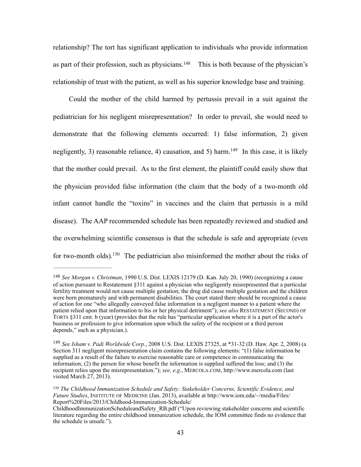<span id="page-42-3"></span>relationship? The tort has significant application to individuals who provide information as part of their profession, such as physicians[.](#page-42-0)<sup>[148](#page-42-0)</sup> This is both because of the physician's relationship of trust with the patient, as well as his superior knowledge base and training.

<span id="page-42-4"></span>Could the mother of the child harmed by pertussis prevail in a suit against the pediatrician for his negligent misrepresentation? In order to prevail, she would need to demonstrate that the following elements occurred: 1) false information, 2) given negligently,3) reasonable reliance, 4) causation, and 5) harm.<sup>[149](#page-42-1)</sup> In this case, it is likely that the mother could prevail. As to the first element, the plaintiff could easily show that the physician provided false information (the claim that the body of a two-month old infant cannot handle the "toxins" in vaccines and the claim that pertussis is a mild disease). The AAP recommended schedule has been repeatedly reviewed and studied and the overwhelming scientific consensus is that the schedule is safe and appropriate (even fortwo-month olds). <sup>[150](#page-42-2)</sup> The pediatrician also misinformed the mother about the risks of

<span id="page-42-5"></span><span id="page-42-0"></span>*See Morgan v. Christman*, 1990 U.S. Dist. LEXIS 12179 (D. Kan. July 20, 1990) (recognizing a cause [148](#page-42-3) of action pursuant to Restatement §311 against a physician who negligently misrepresented that a particular fertility treatment would not cause multiple gestation; the drug did cause multiple gestation and the children were born prematurely and with permanent disabilities. The court stated there should be recognized a cause of action for one "who allegedly conveyed false information in a negligent manner to a patient where the patient relied upon that information to his or her physical detriment"); *see also* RESTATEMENT (SECOND) OF TORTS §311 cmt. b (year) (provides that the rule has "particular application where it is a part of the actor's business or profession to give information upon which the safety of the recipient or a third person depends," such as a physician.).

<span id="page-42-1"></span><sup>&</sup>lt;sup>[149](#page-42-4)</sup> See Isham v. Padi Worldwide Corp., 2008 U.S. Dist. LEXIS 27325, at \*31-32 (D. Haw. Apr. 2, 2008) (a Section 311 negligent misrepresentation claim contains the following elements: "(1) false information be supplied as a result of the failure to exercise reasonable care or competence in communicating the information; (2) the person for whose benefit the information is supplied suffered the loss; and (3) the recipient relies upon the misrepresentation."); *see, e.g.*, MERCOLA.COM, http://www.mercola.com (last visited March 27, 2013).

<span id="page-42-2"></span>*The Childhood Immunization Schedule and Safety: Stakeholder Concerns, Scientific Evidence, and* [150](#page-42-5) *Future Studies*, INSTITUTE OF MEDICINE (Jan. 2013), available at http://www.iom.edu/~/media/Files/ Report%20Files/2013/Childhood-Immunization-Schedule/

ChildhoodImmunizationScheduleandSafety\_RB.pdf ("Upon reviewing stakeholder concerns and scientific literature regarding the entire childhood immunization schedule, the IOM committee finds no evidence that the schedule is unsafe.").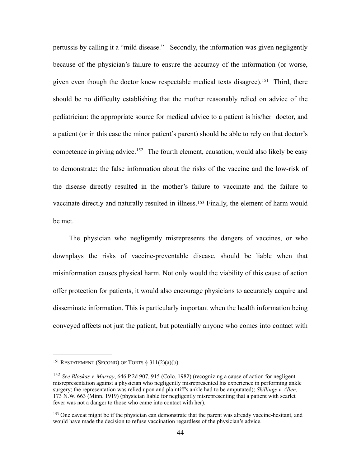<span id="page-43-3"></span>pertussis by calling it a "mild disease." Secondly, the information was given negligently because of the physician's failure to ensure the accuracy of the information (or worse, giveneven though the doctor knew respectable medical texts disagree).<sup>[151](#page-43-0)</sup> Third, there should be no difficulty establishing that the mother reasonably relied on advice of the pediatrician: the appropriate source for medical advice to a patient is his/her doctor, and a patient (or in this case the minor patient's parent) should be able to rely on that doctor's competencein giving advice.<sup>[152](#page-43-1)</sup> The fourth element, causation, would also likely be easy to demonstrate: the false information about the risks of the vaccine and the low-risk of the disease directly resulted in the mother's failure to vaccinate and the failure to vaccinatedirectly and naturally resulted in illness.<sup>[153](#page-43-2)</sup> Finally, the element of harm would be met.

<span id="page-43-5"></span><span id="page-43-4"></span>The physician who negligently misrepresents the dangers of vaccines, or who downplays the risks of vaccine-preventable disease, should be liable when that misinformation causes physical harm. Not only would the viability of this cause of action offer protection for patients, it would also encourage physicians to accurately acquire and disseminate information. This is particularly important when the health information being conveyed affects not just the patient, but potentially anyone who comes into contact with

<span id="page-43-0"></span><sup>&</sup>lt;sup>[151](#page-43-3)</sup> RESTATEMENT (SECOND) OF TORTS  $§$  311(2)(a)(b).

<span id="page-43-1"></span><sup>&</sup>lt;sup>[152](#page-43-4)</sup> *See Bloskas v. Murray*, 646 P.2d 907, 915 (Colo. 1982) (recognizing a cause of action for negligent misrepresentation against a physician who negligently misrepresented his experience in performing ankle surgery; the representation was relied upon and plaintiff's ankle had to be amputated); *Skillings v. Allen*, 173 N.W. 663 (Minn. 1919) (physician liable for negligently misrepresenting that a patient with scarlet fever was not a danger to those who came into contact with her).

<span id="page-43-2"></span><sup>&</sup>lt;sup>[153](#page-43-5)</sup> One caveat might be if the physician can demonstrate that the parent was already vaccine-hesitant, and would have made the decision to refuse vaccination regardless of the physician's advice.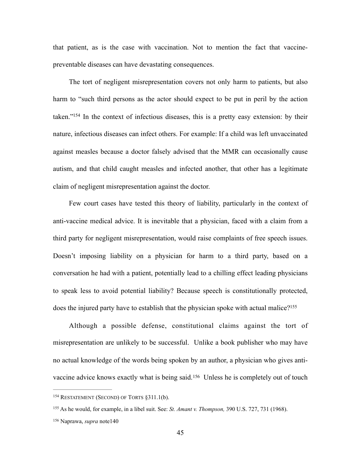that patient, as is the case with vaccination. Not to mention the fact that vaccinepreventable diseases can have devastating consequences.

<span id="page-44-3"></span>The tort of negligent misrepresentation covers not only harm to patients, but also harm to "such third persons as the actor should expect to be put in peril by the action taken.["](#page-44-0) $154$  In the context of infectious diseases, this is a pretty easy extension: by their nature, infectious diseases can infect others. For example: If a child was left unvaccinated against measles because a doctor falsely advised that the MMR can occasionally cause autism, and that child caught measles and infected another, that other has a legitimate claim of negligent misrepresentation against the doctor.

Few court cases have tested this theory of liability, particularly in the context of anti-vaccine medical advice. It is inevitable that a physician, faced with a claim from a third party for negligent misrepresentation, would raise complaints of free speech issues. Doesn't imposing liability on a physician for harm to a third party, based on a conversation he had with a patient, potentially lead to a chilling effect leading physicians to speak less to avoid potential liability? Because speech is constitutionally protected, does the injured party have to establish that the physician spoke with actual malice?<sup>155</sup>

<span id="page-44-4"></span>Although a possible defense, constitutional claims against the tort of misrepresentation are unlikely to be successful. Unlike a book publisher who may have no actual knowledge of the words being spoken by an author, a physician who gives anti-vaccineadvice knows exactly what is being said.<sup>[156](#page-44-2)</sup> Unless he is completely out of touch

<span id="page-44-5"></span><span id="page-44-0"></span><sup>&</sup>lt;sup>[154](#page-44-3)</sup> RESTATEMENT (SECOND) OF TORTS §311.1(b).

<span id="page-44-1"></span><sup>&</sup>lt;sup>[155](#page-44-4)</sup> As he would, for example, in a libel suit. See: *St. Amant v. Thompson*, 390 U.S. 727, 731 (1968).

<span id="page-44-2"></span><sup>&</sup>lt;sup>[156](#page-44-5)</sup> Naprawa, *supra* note140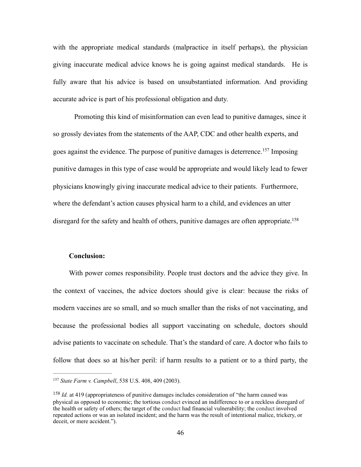with the appropriate medical standards (malpractice in itself perhaps), the physician giving inaccurate medical advice knows he is going against medical standards. He is fully aware that his advice is based on unsubstantiated information. And providing accurate advice is part of his professional obligation and duty.

<span id="page-45-2"></span> Promoting this kind of misinformation can even lead to punitive damages, since it so grossly deviates from the statements of the AAP, CDC and other health experts, and goesagainst the evidence. The purpose of punitive damages is deterrence.<sup>[157](#page-45-0)</sup> Imposing punitive damages in this type of case would be appropriate and would likely lead to fewer physicians knowingly giving inaccurate medical advice to their patients. Furthermore, where the defendant's action causes physical harm to a child, and evidences an utter disregard for the safety and health of others, punitive damages are often appropriate.<sup>158</sup>

### <span id="page-45-3"></span>**Conclusion:**

With power comes responsibility. People trust doctors and the advice they give. In the context of vaccines, the advice doctors should give is clear: because the risks of modern vaccines are so small, and so much smaller than the risks of not vaccinating, and because the professional bodies all support vaccinating on schedule, doctors should advise patients to vaccinate on schedule. That's the standard of care. A doctor who fails to follow that does so at his/her peril: if harm results to a patient or to a third party, the

<span id="page-45-0"></span><sup>&</sup>lt;sup>[157](#page-45-2)</sup> State Farm v. Campbell, 538 U.S. 408, 409 (2003).

<span id="page-45-1"></span>*ISB Id.* at 419 (appropriateness of punitive damages includes consideration of "the harm caused was physical as opposed to economic; the tortious conduct evinced an indifference to or a reckless disregard of the health or safety of others; the target of the conduct had financial vulnerability; the conduct involved repeated actions or was an isolated incident; and the harm was the result of intentional malice, trickery, or deceit, or mere accident.").